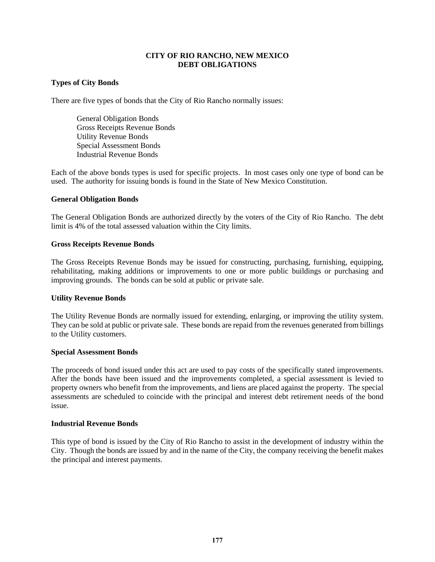### **CITY OF RIO RANCHO, NEW MEXICO DEBT OBLIGATIONS**

### **Types of City Bonds**

There are five types of bonds that the City of Rio Rancho normally issues:

General Obligation Bonds Gross Receipts Revenue Bonds Utility Revenue Bonds Special Assessment Bonds Industrial Revenue Bonds

Each of the above bonds types is used for specific projects. In most cases only one type of bond can be used. The authority for issuing bonds is found in the State of New Mexico Constitution.

### **General Obligation Bonds**

The General Obligation Bonds are authorized directly by the voters of the City of Rio Rancho. The debt limit is 4% of the total assessed valuation within the City limits.

### **Gross Receipts Revenue Bonds**

The Gross Receipts Revenue Bonds may be issued for constructing, purchasing, furnishing, equipping, rehabilitating, making additions or improvements to one or more public buildings or purchasing and improving grounds. The bonds can be sold at public or private sale.

#### **Utility Revenue Bonds**

The Utility Revenue Bonds are normally issued for extending, enlarging, or improving the utility system. They can be sold at public or private sale. These bonds are repaid from the revenues generated from billings to the Utility customers.

#### **Special Assessment Bonds**

The proceeds of bond issued under this act are used to pay costs of the specifically stated improvements. After the bonds have been issued and the improvements completed, a special assessment is levied to property owners who benefit from the improvements, and liens are placed against the property. The special assessments are scheduled to coincide with the principal and interest debt retirement needs of the bond issue.

#### **Industrial Revenue Bonds**

This type of bond is issued by the City of Rio Rancho to assist in the development of industry within the City. Though the bonds are issued by and in the name of the City, the company receiving the benefit makes the principal and interest payments.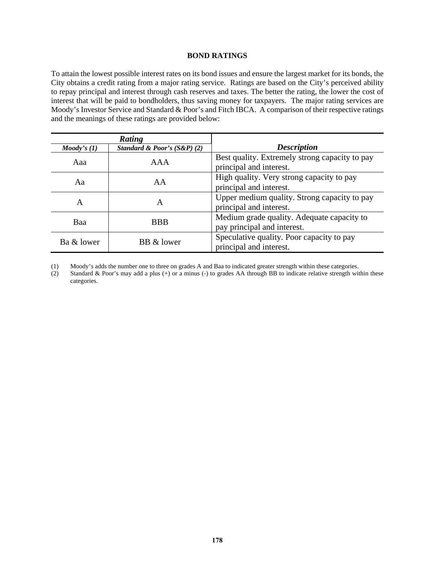#### **BOND RATINGS**

To attain the lowest possible interest rates on its bond issues and ensure the largest market for its bonds, the City obtains a credit rating from a major rating service. Ratings are based on the City's perceived ability to repay principal and interest through cash reserves and taxes. The better the rating, the lower the cost of interest that will be paid to bondholders, thus saving money for taxpayers. The major rating services are Moody's Investor Service and Standard & Poor's and Fitch IBCA. A comparison of their respective ratings and the meanings of these ratings are provided below:

|                       | Rating                         |                                                                           |
|-----------------------|--------------------------------|---------------------------------------------------------------------------|
| $\textit{Mody's (1)}$ | Standard & Poor's $(S\&P)$ (2) | <b>Description</b>                                                        |
| Aaa                   | <b>AAA</b>                     | Best quality. Extremely strong capacity to pay<br>principal and interest. |
| Aa                    | AA                             | High quality. Very strong capacity to pay<br>principal and interest.      |
| A                     | A                              | Upper medium quality. Strong capacity to pay<br>principal and interest.   |
| Baa                   | <b>BBB</b>                     | Medium grade quality. Adequate capacity to<br>pay principal and interest. |
| Ba & lower            | BB & lower                     | Speculative quality. Poor capacity to pay<br>principal and interest.      |

(1) Moody's adds the number one to three on grades A and Baa to indicated greater strength within these categories.

(2) Standard & Poor's may add a plus (+) or a minus (-) to grades AA through BB to indicate relative strength within these categories.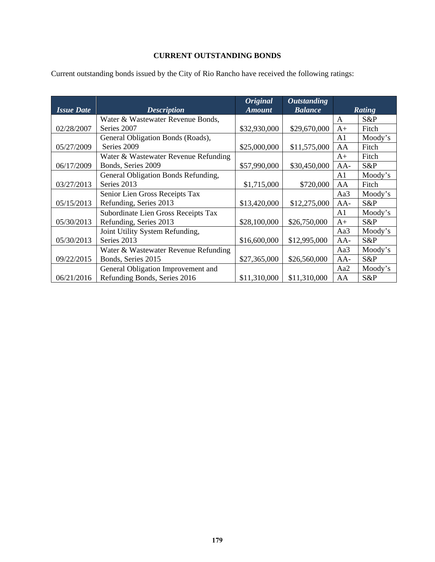### **CURRENT OUTSTANDING BONDS**

|                   |                                      | <b>Original</b> | <b>Outstanding</b> |                |               |
|-------------------|--------------------------------------|-----------------|--------------------|----------------|---------------|
| <b>Issue Date</b> | <b>Description</b>                   | <b>Amount</b>   | <b>Balance</b>     |                | <b>Rating</b> |
|                   | Water & Wastewater Revenue Bonds,    |                 |                    | A              | S&P           |
| 02/28/2007        | Series 2007                          | \$32,930,000    | \$29,670,000       | $A+$           | Fitch         |
|                   | General Obligation Bonds (Roads),    |                 |                    | A <sub>1</sub> | Moody's       |
| 05/27/2009        | Series 2009                          | \$25,000,000    | \$11,575,000       | AA             | Fitch         |
|                   | Water & Wastewater Revenue Refunding |                 |                    | $A+$           | Fitch         |
| 06/17/2009        | Bonds, Series 2009                   | \$57,990,000    | \$30,450,000       | $AA-$          | S&P           |
|                   | General Obligation Bonds Refunding,  |                 |                    | A <sub>1</sub> | Moody's       |
| 03/27/2013        | Series 2013                          | \$1,715,000     | \$720,000          | AA             | Fitch         |
|                   | Senior Lien Gross Receipts Tax       |                 |                    | Aa3            | Moody's       |
| 05/15/2013        | Refunding, Series 2013               | \$13,420,000    | \$12,275,000       | $AA-$          | S&P           |
|                   | Subordinate Lien Gross Receipts Tax  |                 |                    | A <sub>1</sub> | Moody's       |
| 05/30/2013        | Refunding, Series 2013               | \$28,100,000    | \$26,750,000       | $A+$           | S&P           |
|                   | Joint Utility System Refunding,      |                 |                    | Aa3            | Moody's       |
| 05/30/2013        | Series 2013                          | \$16,600,000    | \$12,995,000       | $AA-$          | S&P           |
|                   | Water & Wastewater Revenue Refunding |                 |                    | Aa3            | Moody's       |
| 09/22/2015        | Bonds, Series 2015                   | \$27,365,000    | \$26,560,000       | $AA-$          | S&P           |
|                   | General Obligation Improvement and   |                 |                    | Aa2            | Moody's       |
| 06/21/2016        | Refunding Bonds, Series 2016         | \$11,310,000    | \$11,310,000       | AA             | S&P           |

Current outstanding bonds issued by the City of Rio Rancho have received the following ratings: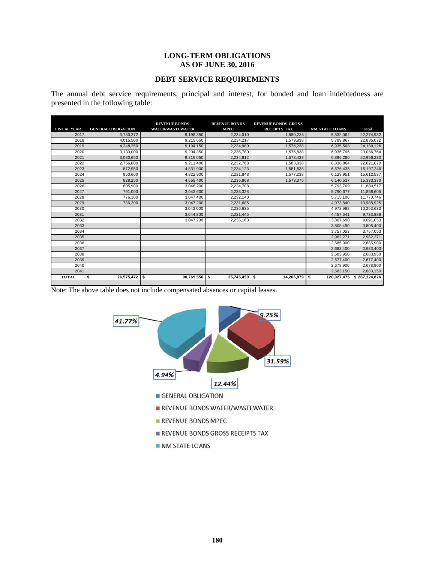### **LONG-TERM OBLIGATIONS AS OF JUNE 30, 2016**

# **DEBT SERVICE REQUIREMENTS**

The annual debt service requirements, principal and interest, for bonded and loan indebtedness are presented in the following table:

| <b>FIS CAL YEAR</b> | <b>GENERAL OBLIGATION</b> | <b>REVENUE BONDS</b><br><b>WATER/WASTEWATER</b> | <b>REVENUE BONDS</b><br><b>MPEC</b> | <b>REVENUE BONDS GROSS</b><br><b>RECEIPTS TAX</b> | <b>NM STATE LOANS</b> | Total         |
|---------------------|---------------------------|-------------------------------------------------|-------------------------------------|---------------------------------------------------|-----------------------|---------------|
| 2017                | 3.730.272                 | 9.198.350                                       | 2.234.010                           | 1.580.238                                         | 5.532.062             | 22.274.932    |
| 2018                | 4.015.500                 | 9.215.650                                       | 2.234.217                           | 1.579.838                                         | 5.789.867             | 22.835.072    |
| 2019                | 4,248,250                 | 9.194.150                                       | 2,234,980                           | 1,576,238                                         | 6,935,508             | 24,189,126    |
| 2020                | 3,133,000                 | 9.204.350                                       | 2,236,780                           | 1.575.838                                         | 6,936,796             | 23,086,764    |
| 2021                | 3,030,650                 | 9,216,050                                       | 2,234,812                           | 1,578,438                                         | 6,896,280             | 22,956,230    |
| 2022                | 2.756.800                 | 9.211.400                                       | 2,232,768                           | 1,583,838                                         | 6.836.864             | 22,621,670    |
| 2023                | 872.950                   | 4.831.900                                       | 2.234.123                           | 1.581.838                                         | 6,676,435             | 16.197.246    |
| 2024                | 850,600                   | 4,822,900                                       | 2,231,848                           | 1,577,238                                         | 6,129,951             | 15,612,537    |
| 2025                | 828.250                   | 4.555.400                                       | 2.235.808                           | 1,573,375                                         | 6.140.537             | 15,333,370    |
| 2026                | 805.900                   | 3.046.200                                       | 2.234.708                           |                                                   | 5.793.709             | 11.880.517    |
| 2027                | 791.000                   | 3,043,600                                       | 2,233,328                           |                                                   | 5,790,677             | 11,858,605    |
| 2028                | 776.100                   | 3.047.400                                       | 2.232.140                           |                                                   | 5.715.106             | 11.770.746    |
| 2029                | 736,200                   | 3.047.200                                       | 2,231,685                           |                                                   | 4,973,840             | 10,988,925    |
| 2030                |                           | 3,043,000                                       | 2,236,635                           |                                                   | 4,973,998             | 10,253,633    |
| 2031                |                           | 3,044,800                                       | 2,231,445                           |                                                   | 4,457,641             | 9,733,886     |
| 2032                |                           | 3,047,200                                       | 2,236,163                           |                                                   | 3,807,690             | 9,091,053     |
| 2033                |                           |                                                 |                                     |                                                   | 3,808,490             | 3,808,490     |
| 2034                |                           |                                                 |                                     |                                                   | 3,757,053             | 3,757,053     |
| 2035                |                           |                                                 |                                     |                                                   | 2,982,271             | 2,982,271     |
| 2036                |                           |                                                 |                                     |                                                   | 2,685,900             | 2.685.900     |
| 2037                |                           |                                                 |                                     |                                                   | 2,683,400             | 2,683,400     |
| 2038                |                           |                                                 |                                     |                                                   | 2,683,950             | 2,683,950     |
| 2039                |                           |                                                 |                                     |                                                   | 2,677,400             | 2,677,400     |
| 2040                |                           |                                                 |                                     |                                                   | 2,678,900             | 2,678,900     |
| 2041                |                           |                                                 |                                     |                                                   | 2,683,150             | 2,683,150     |
| <b>TOTAL</b>        | \$<br>26,575,472          | \$<br>90,769,550                                | \$<br>35,745,450                    | \$<br>14,206,879                                  | \$<br>120,027,475     | \$287,324,826 |

Note: The above table does not include compensated absences or capital leases.

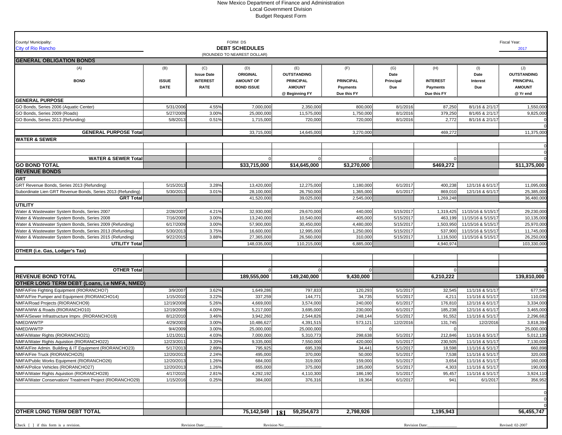#### New Mexico Department of Finance and Administration Local Government Division Budget Request Form

| County/ Municipality:                                                                                                |                        |                   | FORM DS                     |                    |                        |                        |                      |                                          | Fiscal Year:             |
|----------------------------------------------------------------------------------------------------------------------|------------------------|-------------------|-----------------------------|--------------------|------------------------|------------------------|----------------------|------------------------------------------|--------------------------|
| <b>City of Rio Rancho</b>                                                                                            |                        |                   | <b>DEBT SCHEDULES</b>       |                    |                        |                        |                      |                                          | 2017                     |
|                                                                                                                      |                        |                   | (ROUNDED TO NEAREST DOLLAR) |                    |                        |                        |                      |                                          |                          |
| <b>GENERAL OBLIGATION BONDS</b>                                                                                      |                        |                   |                             |                    |                        |                        |                      |                                          |                          |
| (A)                                                                                                                  | (B)                    | (C)               | (D)                         | (E)                | (F)                    | (G)                    | (H)                  | (1)                                      | (J)                      |
|                                                                                                                      |                        | <b>Issue Date</b> | ORIGINAL                    | <b>OUTSTANDING</b> |                        | Date                   |                      | Date                                     | <b>OUTSTANDING</b>       |
| <b>BOND</b>                                                                                                          | <b>ISSUE</b>           | <b>INTEREST</b>   | <b>AMOUNT OF</b>            | <b>PRINCIPAL</b>   | <b>PRINCIPAL</b>       | Principal              | <b>INTEREST</b>      | Interest                                 | <b>PRINCIPAL</b>         |
|                                                                                                                      | <b>DATE</b>            | <b>RATE</b>       | <b>BOND ISSUE</b>           | <b>AMOUNT</b>      | <b>Payments</b>        | Due                    | Payments             | Due                                      | <b>AMOUNT</b>            |
|                                                                                                                      |                        |                   |                             | @ Beginning FY     | Due this FY            |                        | Due this FY          |                                          | @ Yr end                 |
| <b>GENERAL PURPOSE</b>                                                                                               |                        |                   |                             |                    |                        |                        |                      |                                          |                          |
| GO Bonds, Series 2006 (Aquatic Center)                                                                               | 5/31/2006              | 4.55%             | 7,000,000                   | 2,350,000          | 800,000                | 8/1/2016               | 87,250               | 8/1/16 & 2/1/17                          | 1,550,000                |
| GO Bonds, Series 2009 (Roads)                                                                                        | 5/27/2009              | 3.00%             | 25,000,000                  | 11,575,000         | 1,750,000              | 8/1/2016               | 379,250              | 8/1/65 & 2/1/17                          | 9,825,00                 |
| GO Bonds, Series 2013 (Refunding)                                                                                    | 5/8/2013               | 0.51%             | 1,715,000                   | 720,000            | 720,000                | 8/1/2016               | 2,772                | 8/1/16 & 2/1/17                          |                          |
| <b>GENERAL PURPOSE Total</b>                                                                                         |                        |                   | 33,715,000                  | 14,645,000         | 3,270,000              |                        | 469,272              |                                          | 11,375,000               |
| <b>WATER &amp; SEWER</b>                                                                                             |                        |                   |                             |                    |                        |                        |                      |                                          |                          |
|                                                                                                                      |                        |                   |                             |                    |                        |                        |                      |                                          |                          |
|                                                                                                                      |                        |                   |                             |                    |                        |                        |                      |                                          |                          |
| <b>WATER &amp; SEWER Total</b>                                                                                       |                        |                   |                             |                    |                        |                        |                      |                                          |                          |
| <b>GO BOND TOTAL</b>                                                                                                 |                        |                   | \$33,715,000                | \$14,645,000       | \$3,270,000            |                        | \$469,272            |                                          | \$11,375,000             |
| <b>REVENUE BONDS</b>                                                                                                 |                        |                   |                             |                    |                        |                        |                      |                                          |                          |
| <b>GRT</b>                                                                                                           |                        |                   |                             |                    |                        |                        |                      |                                          |                          |
| GRT Revenue Bonds, Series 2013 (Refunding)                                                                           | 5/15/2013              | 3.28%             | 13,420,000                  | 12,275,000         | 1,180,000              | 6/1/2017               | 400,238              | 12/1/16 & 6/1/17                         | 11,095,000               |
| Subordinate Lien GRT Revenue Bonds, Series 2013 (Refunding)                                                          | 5/30/2013              | 3.01%             | 28,100,000                  | 26,750,000         | 1,365,000              | 6/1/2017               | 869,010              | 12/1/16 & 6/1/17                         | 25,385,00                |
| <b>GRT Total</b>                                                                                                     |                        |                   | 41,520,000                  | 39,025,000         | 2,545,000              |                        | 1,269,248            |                                          | 36,480,000               |
|                                                                                                                      |                        |                   |                             |                    |                        |                        |                      |                                          |                          |
| UTILITY                                                                                                              | 2/28/2007              |                   | 32,930,000                  | 29,670,000         |                        |                        |                      |                                          |                          |
| Water & Wastewater System Bonds, Series 2007<br>Water & Wastewater System Bonds, Series 2008                         | 7/16/2008              | 4.21%<br>3.00%    | 13,240,000                  | 10,540,000         | 440,000<br>405,000     | 5/15/2017<br>5/15/2017 | 1,319,425<br>463,199 | 11/15/16 & 5/15/17                       | 29,230,000               |
|                                                                                                                      |                        | 3.00%             |                             | 30,450,000         |                        |                        | 1,503,950            | 11/15/16 & 5/15/17<br>11/15/16 & 5/15/17 | 10,135,000<br>25,970,000 |
| Water & Wastewater System Bonds, Series 2009 (Refunding)                                                             | 6/17/2009              | 3.75%             | 57,900,000<br>16,600,000    | 12,995,000         | 4,480,000<br>1,250,000 | 5/15/2017<br>5/15/2017 | 537,900              |                                          | 11,745,000               |
| Water & Wastewater System Bonds, Series 2013 (Refunding)<br>Water & Wastewater System Bonds, Series 2015 (Refunding) | 5/30/2013<br>9/22/2015 | 3.88%             | 27,365,000                  | 26,560,000         | 310,000                | 5/15/2017              | 1,116,500            | 11/15/16 & 5/15/17<br>11/15/16 & 5/15/17 | 26,250,000               |
| <b>UTILITY Total</b>                                                                                                 |                        |                   | 148,035,000                 | 110,215,000        | 6,885,000              |                        | 4,940,974            |                                          | 103,330,000              |
|                                                                                                                      |                        |                   |                             |                    |                        |                        |                      |                                          |                          |
| OTHER (i.e. Gas, Lodger's Tax)                                                                                       |                        |                   |                             |                    |                        |                        |                      |                                          |                          |
|                                                                                                                      |                        |                   |                             |                    |                        |                        |                      |                                          |                          |
| <b>OTHER Total</b>                                                                                                   |                        |                   |                             |                    |                        |                        |                      |                                          |                          |
| <b>REVENUE BOND TOTAL</b>                                                                                            |                        |                   | 189,555,000                 | 149,240,000        | 9,430,000              |                        | 6,210,222            |                                          | 139,810,000              |
| OTHER LONG TERM DEBT (Loans, i.e NMFA, NMED)                                                                         |                        |                   |                             |                    |                        |                        |                      |                                          |                          |
| NMFA/Fire Fighting Equipment (RIORANCHO7)                                                                            | 3/9/2007               | 3.62%             | 1,649,286                   | 797,833            | 120,293                | 5/1/2017               | 32,545               | 11/1/16 & 5/1/17                         | 677,540                  |
| NMFA/Fire Pumper and Equipment (RIORANCHO14)                                                                         | 1/15/2010              | 3.22%             | 337,259                     | 144,771            | 34,735                 | 5/1/2017               | 4,211                | 11/1/16 & 5/1/17                         | 110,036                  |
| NMFA/Road Projects (RIORANCHO9)                                                                                      | 12/19/2008             | 5.26%             | 4,669,000                   | 3,574,000          | 240,000                | 6/1/2017               | 176,810              | 12/1/16 & 6/1/17                         | 3,334,000                |
| NMFA/WW & Roads (RIORANCHO10)                                                                                        | 12/19/2009             | 4.00%             | 5,217,000                   | 3,695,000          | 230,000                | 6/1/2017               | 185,238              | 12/1/16 & 6/1/17                         | 3,465,000                |
| NMFA/Sewer Infrastructure Imprv. (RIORANCHO19)                                                                       | 8/12/2010              | 3.46%             | 3,942,260                   | 2,544,826          | 248,144                | 5/1/2017               | 91,552               | 11/1/16 & 5/1/17                         | 2,296,682                |
| NMED/WWTP                                                                                                            | 4/29/2003              | 3.00%             | 10,486,627                  | 4,391,515          | 573,121                | 12/2/2016              | 131,745              | 12/2/2016                                | 3,818,394                |
| NMED/WWTP                                                                                                            | 9/4/2009               | 3.00%             | 25,000,000                  | 25,000,000         |                        |                        |                      |                                          | 25,000,000               |
| NMFA/Water Rights (RIORANCHO21)                                                                                      | 1/21/201               | 4.03%             | 7,000,000                   | 5,310,773          | 298,638                | 5/1/2017               | 212,846              | 11/1/16 & 5/1/17                         | 5,012,135                |
| NMFA/Water Rights Aquistion (RIORANCHO22)                                                                            | 12/23/2011             | 3.20%             | 9,335,000                   | 7,550,000          | 420,000                | 5/1/2017               | 230,505              | 11/1/16 & 5/1/17                         | 7,130,000                |
| NMFA/Fire Admin. Building & IT Equipment (RIORANCHO23)                                                               | 5/17/2013              | 2.89%             | 795,925                     | 695,339            | 34.441                 | 5/1/2017               | 18,598               | 11/1/16 & 5/1/17                         | 660,898                  |
| NMFA/Fire Truck (RIORANCHO25)                                                                                        | 12/20/2013             | 2.24%             | 495,000                     | 370,000            | 50,000                 | 5/1/2017               | 7,538                | 11/1/16 & 5/1/17                         | 320,000                  |
| NMFA/Public Works Equipment (RIORANCHO26)                                                                            | 12/20/2013             | 1.26%             | 684,000                     | 319,000            | 159,000                | 5/1/2017               | 3,654                | 11/1/16 & 5/1/17                         | 160,000                  |
| NMFA/Police Vehicles (RIORANCHO27)                                                                                   | 12/20/2013             | 1.26%             | 855,000                     | 375,000            | 185,000                | 5/1/2017               | 4,303                | 11/1/16 & 5/1/17                         | 190,000                  |
| NMFA/Water Rights Aquistion (RIORANCHO28)                                                                            | 4/17/2015              | 2.81%             | 4,292,192                   | 4,110,300          | 186,190                | 5/1/2017               | 95,457               | 11/1/16 & 5/1/17                         | 3,924,110                |
| NMFA/Water Conservation/ Treatment Project (RIORANCHO29)                                                             | 1/15/2016              | 0.25%             | 384,000                     | 376,316            | 19,364                 | 6/1/2017               | 941                  | 6/1/2017                                 | 356,952                  |
|                                                                                                                      |                        |                   |                             |                    |                        |                        |                      |                                          |                          |
|                                                                                                                      |                        |                   |                             |                    |                        |                        |                      |                                          |                          |
|                                                                                                                      |                        |                   |                             |                    |                        |                        |                      |                                          |                          |
|                                                                                                                      |                        |                   |                             |                    |                        |                        |                      |                                          |                          |
| <b>OTHER LONG TERM DEBT TOTAL</b>                                                                                    |                        |                   | 75,142,549                  | 59,254,673<br>181  | 2,798,926              |                        | 1,195,943            |                                          | 56,455,747               |
|                                                                                                                      |                        |                   |                             |                    |                        |                        |                      |                                          |                          |
| Check [ ] if this form is a revision.                                                                                |                        | Revision Date:    |                             | Revision No:       |                        |                        | Revision Date:       |                                          | Revised: 02-2007         |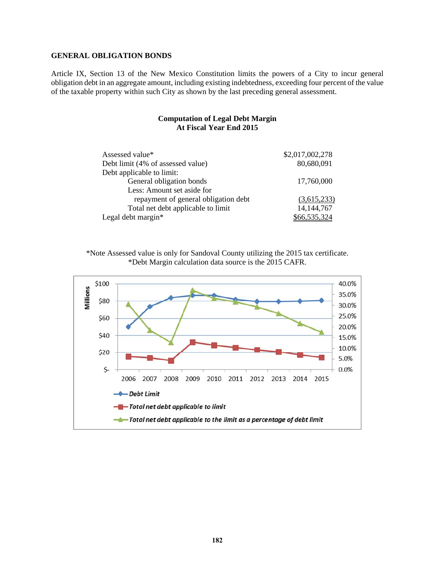### **GENERAL OBLIGATION BONDS**

Article IX, Section 13 of the New Mexico Constitution limits the powers of a City to incur general obligation debt in an aggregate amount, including existing indebtedness, exceeding four percent of the value of the taxable property within such City as shown by the last preceding general assessment.

### **Computation of Legal Debt Margin At Fiscal Year End 2015**

| Assessed value*                      | \$2,017,002,278 |
|--------------------------------------|-----------------|
| Debt limit (4% of assessed value)    | 80,680,091      |
| Debt applicable to limit:            |                 |
| General obligation bonds             | 17,760,000      |
| Less: Amount set aside for           |                 |
| repayment of general obligation debt | (3,615,233)     |
| Total net debt applicable to limit   | 14, 144, 767    |
| Legal debt margin $*$                | \$66,535,324    |

\*Note Assessed value is only for Sandoval County utilizing the 2015 tax certificate. \*Debt Margin calculation data source is the 2015 CAFR.

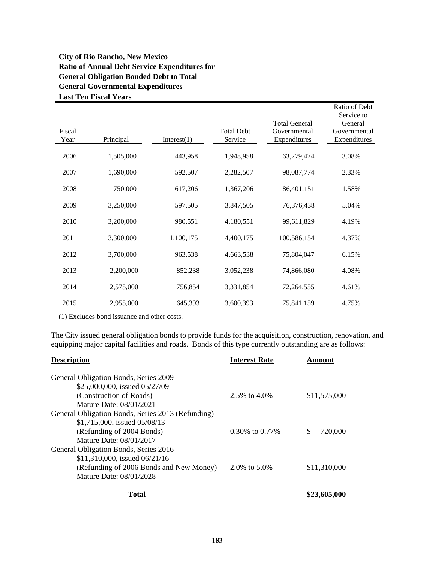### **City of Rio Rancho, New Mexico Ratio of Annual Debt Service Expenditures for General Obligation Bonded Debt to Total General Governmental Expenditures Last Ten Fiscal Years**

|                |           |             |                              |                                                      | Ratio of Debt<br>Service to             |
|----------------|-----------|-------------|------------------------------|------------------------------------------------------|-----------------------------------------|
| Fiscal<br>Year | Principal | Interest(1) | <b>Total Debt</b><br>Service | <b>Total General</b><br>Governmental<br>Expenditures | General<br>Governmental<br>Expenditures |
| 2006           | 1,505,000 | 443,958     | 1,948,958                    | 63,279,474                                           | 3.08%                                   |
| 2007           | 1,690,000 | 592,507     | 2,282,507                    | 98,087,774                                           | 2.33%                                   |
| 2008           | 750,000   | 617,206     | 1,367,206                    | 86,401,151                                           | 1.58%                                   |
| 2009           | 3,250,000 | 597,505     | 3,847,505                    | 76,376,438                                           | 5.04%                                   |
| 2010           | 3,200,000 | 980,551     | 4,180,551                    | 99,611,829                                           | 4.19%                                   |
| 2011           | 3,300,000 | 1,100,175   | 4,400,175                    | 100,586,154                                          | 4.37%                                   |
| 2012           | 3,700,000 | 963,538     | 4,663,538                    | 75,804,047                                           | 6.15%                                   |
| 2013           | 2,200,000 | 852,238     | 3,052,238                    | 74,866,080                                           | 4.08%                                   |
| 2014           | 2,575,000 | 756,854     | 3,331,854                    | 72,264,555                                           | 4.61%                                   |
| 2015           | 2,955,000 | 645,393     | 3,600,393                    | 75,841,159                                           | 4.75%                                   |

(1) Excludes bond issuance and other costs.

The City issued general obligation bonds to provide funds for the acquisition, construction, renovation, and equipping major capital facilities and roads. Bonds of this type currently outstanding are as follows:

| <b>Description</b>                                | <b>Interest Rate</b> | Amount       |
|---------------------------------------------------|----------------------|--------------|
| General Obligation Bonds, Series 2009             |                      |              |
| \$25,000,000, issued 05/27/09                     |                      |              |
| (Construction of Roads)                           | 2.5\% to 4.0\%       | \$11,575,000 |
| Mature Date: 08/01/2021                           |                      |              |
| General Obligation Bonds, Series 2013 (Refunding) |                      |              |
| $$1,715,000$ , issued $05/08/13$                  |                      |              |
| (Refunding of 2004 Bonds)                         | $0.30\%$ to $0.77\%$ | 720,000<br>S |
| Mature Date: 08/01/2017                           |                      |              |
| General Obligation Bonds, Series 2016             |                      |              |
| $$11,310,000$ , issued $06/21/16$                 |                      |              |
| (Refunding of 2006 Bonds and New Money)           | 2.0\% to 5.0\%       | \$11,310,000 |
| Mature Date: 08/01/2028                           |                      |              |
| Total                                             |                      | \$23,605,000 |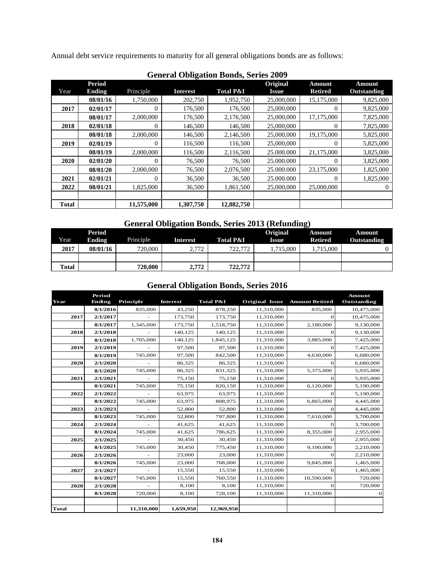Annual debt service requirements to maturity for all general obligations bonds are as follows:

| General Obligation Donus, Series 2007 |                                |            |                 |                      |                          |                                 |                              |  |  |  |
|---------------------------------------|--------------------------------|------------|-----------------|----------------------|--------------------------|---------------------------------|------------------------------|--|--|--|
| Year                                  | <b>Period</b><br><b>Ending</b> | Principle  | <b>Interest</b> | <b>Total P&amp;I</b> | <b>Original</b><br>Issue | <b>Amount</b><br><b>Retired</b> | <b>Amount</b><br>Outstanding |  |  |  |
|                                       | 08/01/16                       | 1,750,000  | 202,750         | 1,952,750            | 25,000,000               | 15,175,000                      | 9,825,000                    |  |  |  |
| 2017                                  | 02/01/17                       | $\theta$   | 176,500         | 176,500              | 25,000,000               | $\Omega$                        | 9,825,000                    |  |  |  |
|                                       | 08/01/17                       | 2,000,000  | 176,500         | 2,176,500            | 25,000,000               | 17,175,000                      | 7,825,000                    |  |  |  |
| 2018                                  | 02/01/18                       | $\Omega$   | 146,500         | 146,500              | 25,000,000               | $\Omega$                        | 7,825,000                    |  |  |  |
|                                       | 08/01/18                       | 2,000,000  | 146,500         | 2,146,500            | 25,000,000               | 19,175,000                      | 5,825,000                    |  |  |  |
| 2019                                  | 02/01/19                       | $\theta$   | 116.500         | 116.500              | 25,000,000               | $\Omega$                        | 5,825,000                    |  |  |  |
|                                       | 08/01/19                       | 2,000,000  | 116,500         | 2,116,500            | 25,000,000               | 21,175,000                      | 3,825,000                    |  |  |  |
| 2020                                  | 02/01/20                       | 0          | 76,500          | 76,500               | 25,000,000               | $\Omega$                        | 3,825,000                    |  |  |  |
|                                       | 08/01/20                       | 2,000,000  | 76,500          | 2,076,500            | 25.000.000               | 23,175,000                      | 1,825,000                    |  |  |  |
| 2021                                  | 02/01/21                       | $\theta$   | 36,500          | 36,500               | 25.000.000               | $\Omega$                        | 1,825,000                    |  |  |  |
| 2022                                  | 08/01/21                       | 1,825,000  | 36,500          | 1,861,500            | 25,000,000               | 25,000,000                      | 0                            |  |  |  |
|                                       |                                |            |                 |                      |                          |                                 |                              |  |  |  |
| <b>Total</b>                          |                                | 11,575,000 | 1,307,750       | 12,882,750           |                          |                                 |                              |  |  |  |

# **General Obligation Bonds, Series 2009**

# **General Obligation Bonds, Series 2013 (Refunding)**

| Year         | <b>Period</b><br><b>Ending</b> | Principle | <b>Interest</b> | <b>Total P&amp;I</b> | Original<br>Issue | Amount<br><b>Retired</b> | Amount<br><b>Outstanding</b> |
|--------------|--------------------------------|-----------|-----------------|----------------------|-------------------|--------------------------|------------------------------|
| 2017         | 08/01/16                       | 720,000   | 2.772           | 722,772              | .715.000          | .715.000                 |                              |
|              |                                |           |                 |                      |                   |                          |                              |
| <b>Total</b> |                                | 720,000   | 2.772           | 722,772              |                   |                          |                              |

### **General Obligation Bonds, Series 2016**

|              | Period        |            |                 |                      |                |                       | <b>Amount</b> |
|--------------|---------------|------------|-----------------|----------------------|----------------|-----------------------|---------------|
| Year         | <b>Ending</b> | Principle  | <b>Interest</b> | <b>Total P&amp;I</b> | Original Issue | <b>Amount Retired</b> | Outstanding   |
|              | 8/1/2016      | 835,000    | 43,250          | 878,250              | 11,310,000     | 835,000               | 10,475,000    |
| 2017         | 2/1/2017      |            | 173,750         | 173,750              | 11,310,000     | $\mathbf{O}$          | 10,475,000    |
|              | 8/1/2017      | 1,345,000  | 173,750         | 1,518,750            | 11,310,000     | 2,180,000             | 9,130,000     |
| 2018         | 2/1/2018      |            | 140,125         | 140,125              | 11,310,000     | $\Omega$              | 9,130,000     |
|              | 8/1/2018      | 1,705,000  | 140,125         | 1,845,125            | 11,310,000     | 3,885,000             | 7,425,000     |
| 2019         | 2/1/2019      |            | 97,500          | 97,500               | 11,310,000     | $\mathbf{O}$          | 7,425,000     |
|              | 8/1/2019      | 745,000    | 97,500          | 842,500              | 11,310,000     | 4,630,000             | 6,680,000     |
| 2020         | 2/1/2020      |            | 86,325          | 86,325               | 11,310,000     | $\mathbf 0$           | 6,680,000     |
|              | 8/1/2020      | 745,000    | 86,325          | 831,325              | 11,310,000     | 5,375,000             | 5,935,000     |
| 2021         | 2/1/2021      |            | 75,150          | 75.150               | 11,310,000     | $\mathbf{O}$          | 5,935,000     |
|              | 8/1/2021      | 745,000    | 75,150          | 820,150              | 11,310,000     | 6,120,000             | 5,190,000     |
| 2022         | 2/1/2022      |            | 63,975          | 63,975               | 11,310,000     | $\theta$              | 5,190,000     |
|              | 8/1/2022      | 745,000    | 63,975          | 808,975              | 11,310,000     | 6,865,000             | 4,445,000     |
| 2023         | 2/1/2023      |            | 52,800          | 52,800               | 11,310,000     | $\mathbf{O}$          | 4,445,000     |
|              | 8/1/2023      | 745,000    | 52,800          | 797,800              | 11,310,000     | 7,610,000             | 3,700,000     |
| 2024         | 2/1/2024      |            | 41,625          | 41,625               | 11,310,000     | $\theta$              | 3,700,000     |
|              | 8/1/2024      | 745,000    | 41,625          | 786,625              | 11,310,000     | 8,355,000             | 2,955,000     |
| 2025         | 2/1/2025      |            | 30,450          | 30,450               | 11,310,000     | $\theta$              | 2,955,000     |
|              | 8/1/2025      | 745,000    | 30,450          | 775,450              | 11,310,000     | 9,100,000             | 2,210,000     |
| 2026         | 2/1/2026      |            | 23,000          | 23,000               | 11,310,000     | $\theta$              | 2,210,000     |
|              | 8/1/2026      | 745,000    | 23,000          | 768,000              | 11,310,000     | 9,845,000             | 1,465,000     |
| 2027         | 2/1/2027      |            | 15,550          | 15,550               | 11,310,000     | $\theta$              | 1,465,000     |
|              | 8/1/2027      | 745,000    | 15,550          | 760,550              | 11,310,000     | 10,590,000            | 720,000       |
| 2028         | 2/1/2028      |            | 8,100           | 8,100                | 11,310,000     | $\Omega$              | 720,000       |
|              | 8/1/2028      | 720,000    | 8,100           | 728,100              | 11,310,000     | 11,310,000            | $\mathbf 0$   |
|              |               |            |                 |                      |                |                       |               |
| <b>Total</b> |               | 11,310,000 | 1,659,950       | 12,969,950           |                |                       |               |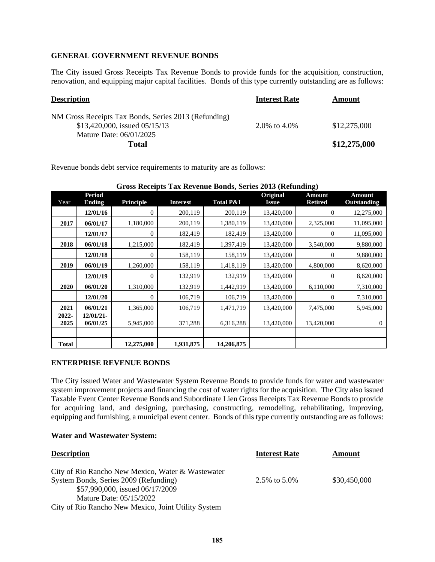### **GENERAL GOVERNMENT REVENUE BONDS**

The City issued Gross Receipts Tax Revenue Bonds to provide funds for the acquisition, construction, renovation, and equipping major capital facilities. Bonds of this type currently outstanding are as follows:

| <b>Description</b>                                                                      | <b>Interest Rate</b> | Amount       |
|-----------------------------------------------------------------------------------------|----------------------|--------------|
| NM Gross Receipts Tax Bonds, Series 2013 (Refunding)<br>\$13,420,000, issued $05/15/13$ | 2.0\% to 4.0\%       | \$12,275,000 |
| Mature Date: 06/01/2025                                                                 |                      |              |
| <b>Total</b>                                                                            |                      | \$12,275,000 |

Revenue bonds debt service requirements to maturity are as follows:

| Year          | <b>Period</b><br><b>Ending</b> | <b>Principle</b> | <b>Interest</b> | <b>Total P&amp;I</b> | Original<br><b>Issue</b> | <b>Amount</b><br><b>Retired</b> | <b>Amount</b><br><b>Outstanding</b> |
|---------------|--------------------------------|------------------|-----------------|----------------------|--------------------------|---------------------------------|-------------------------------------|
|               | 12/01/16                       | $\overline{0}$   | 200,119         | 200,119              | 13,420,000               | $\theta$                        | 12,275,000                          |
| 2017          | 06/01/17                       | 1,180,000        | 200,119         | 1,380,119            | 13,420,000               | 2,325,000                       | 11,095,000                          |
|               | 12/01/17                       | $\mathbf{0}$     | 182,419         | 182,419              | 13,420,000               | $\overline{0}$                  | 11,095,000                          |
| 2018          | 06/01/18                       | 1,215,000        | 182,419         | 1,397,419            | 13,420,000               | 3,540,000                       | 9,880,000                           |
|               | 12/01/18                       | $\mathbf{0}$     | 158,119         | 158,119              | 13,420,000               | $\theta$                        | 9,880,000                           |
| 2019          | 06/01/19                       | 1,260,000        | 158,119         | 1,418,119            | 13,420,000               | 4,800,000                       | 8,620,000                           |
|               | 12/01/19                       | $\mathbf{0}$     | 132,919         | 132,919              | 13,420,000               | $\boldsymbol{0}$                | 8,620,000                           |
| 2020          | 06/01/20                       | 1,310,000        | 132,919         | 1,442,919            | 13,420,000               | 6,110,000                       | 7,310,000                           |
|               | 12/01/20                       | $\mathbf{0}$     | 106,719         | 106,719              | 13,420,000               | $\theta$                        | 7,310,000                           |
| 2021          | 06/01/21                       | 1,365,000        | 106,719         | 1,471,719            | 13,420,000               | 7,475,000                       | 5,945,000                           |
| 2022-<br>2025 | 12/01/21<br>06/01/25           | 5,945,000        | 371,288         | 6,316,288            | 13,420,000               | 13,420,000                      | 0                                   |
|               |                                |                  |                 |                      |                          |                                 |                                     |
| <b>Total</b>  |                                | 12,275,000       | 1,931,875       | 14,206,875           |                          |                                 |                                     |

**Gross Receipts Tax Revenue Bonds, Series 2013 (Refunding)**

### **ENTERPRISE REVENUE BONDS**

The City issued Water and Wastewater System Revenue Bonds to provide funds for water and wastewater system improvement projects and financing the cost of water rights for the acquisition. The City also issued Taxable Event Center Revenue Bonds and Subordinate Lien Gross Receipts Tax Revenue Bonds to provide for acquiring land, and designing, purchasing, constructing, remodeling, rehabilitating, improving, equipping and furnishing, a municipal event center. Bonds of this type currently outstanding are as follows:

#### **Water and Wastewater System:**

| <b>Description</b>                                                                                                                                       | <b>Interest Rate</b> | Amount       |
|----------------------------------------------------------------------------------------------------------------------------------------------------------|----------------------|--------------|
| City of Rio Rancho New Mexico, Water & Wastewater<br>System Bonds, Series 2009 (Refunding)<br>\$57,990,000, issued 06/17/2009<br>Mature Date: 05/15/2022 | 2.5\% to 5.0\%       | \$30,450,000 |
| City of Rio Rancho New Mexico, Joint Utility System                                                                                                      |                      |              |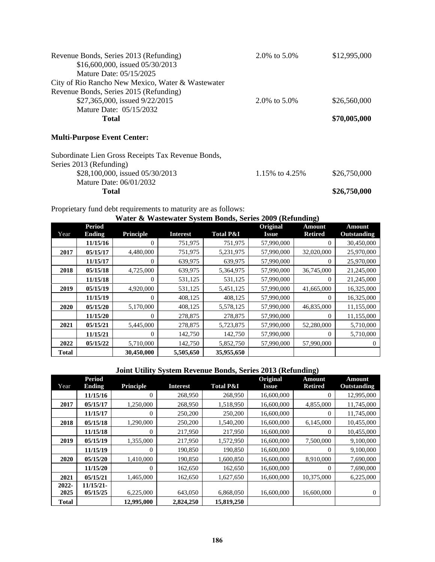| Revenue Bonds, Series 2013 (Refunding)            | 2.0\% to 5.0\% | \$12,995,000 |
|---------------------------------------------------|----------------|--------------|
| \$16,600,000, issued 05/30/2013                   |                |              |
| Mature Date: 05/15/2025                           |                |              |
| City of Rio Rancho New Mexico, Water & Wastewater |                |              |
| Revenue Bonds, Series 2015 (Refunding)            |                |              |
| \$27,365,000, issued 9/22/2015                    | 2.0\% to 5.0\% | \$26,560,000 |
| Mature Date: 05/15/2032                           |                |              |
| Total                                             |                | \$70,005,000 |
| <b>Multi-Purpose Event Center:</b>                |                |              |

| Total                                              |                  | \$26,750,000 |
|----------------------------------------------------|------------------|--------------|
| Mature Date: 06/01/2032                            |                  |              |
| \$28,100,000, issued 05/30/2013                    | 1.15\% to 4.25\% | \$26,750,000 |
| Series 2013 (Refunding)                            |                  |              |
| Subordinate Lien Gross Receipts Tax Revenue Bonds, |                  |              |

Proprietary fund debt requirements to maturity are as follows:

|              | Water & Wastewater System Bonds, Series 2009 (Refunding) |                  |                 |                      |              |                |             |  |  |  |  |
|--------------|----------------------------------------------------------|------------------|-----------------|----------------------|--------------|----------------|-------------|--|--|--|--|
|              | Period                                                   |                  |                 |                      | Original     | <b>Amount</b>  | Amount      |  |  |  |  |
| Year         | <b>Ending</b>                                            | <b>Principle</b> | <b>Interest</b> | <b>Total P&amp;I</b> | <b>Issue</b> | <b>Retired</b> | Outstanding |  |  |  |  |
|              | 11/15/16                                                 | 0                | 751,975         | 751,975              | 57,990,000   | 0              | 30,450,000  |  |  |  |  |
| 2017         | 05/15/17                                                 | 4,480,000        | 751,975         | 5,231,975            | 57,990,000   | 32,020,000     | 25,970,000  |  |  |  |  |
|              | 11/15/17                                                 | $\Omega$         | 639,975         | 639,975              | 57,990,000   | $\Omega$       | 25,970,000  |  |  |  |  |
| 2018         | 05/15/18                                                 | 4,725,000        | 639,975         | 5,364,975            | 57,990,000   | 36,745,000     | 21,245,000  |  |  |  |  |
|              | 11/15/18                                                 | 0                | 531,125         | 531,125              | 57,990,000   | 0              | 21,245,000  |  |  |  |  |
| 2019         | 05/15/19                                                 | 4,920,000        | 531,125         | 5,451,125            | 57,990,000   | 41,665,000     | 16,325,000  |  |  |  |  |
|              | 11/15/19                                                 | 0                | 408,125         | 408,125              | 57,990,000   | $\Omega$       | 16,325,000  |  |  |  |  |
| 2020         | 05/15/20                                                 | 5,170,000        | 408,125         | 5,578,125            | 57,990,000   | 46,835,000     | 11,155,000  |  |  |  |  |
|              | 11/15/20                                                 | 0                | 278,875         | 278,875              | 57,990,000   | $\Omega$       | 11,155,000  |  |  |  |  |
| 2021         | 05/15/21                                                 | 5,445,000        | 278,875         | 5,723,875            | 57,990,000   | 52,280,000     | 5,710,000   |  |  |  |  |
|              | 11/15/21                                                 | 0                | 142,750         | 142,750              | 57,990,000   | 0              | 5,710,000   |  |  |  |  |
| 2022         | 05/15/22                                                 | 5,710,000        | 142,750         | 5,852,750            | 57,990,000   | 57,990,000     | 0           |  |  |  |  |
| <b>Total</b> |                                                          | 30,450,000       | 5,505,650       | 35,955,650           |              |                |             |  |  |  |  |

### **Joint Utility System Revenue Bonds, Series 2013 (Refunding)**

|              | <b>Period</b> |                  |                 |                      | Original     | <b>Amount</b>  | <b>Amount</b>      |
|--------------|---------------|------------------|-----------------|----------------------|--------------|----------------|--------------------|
| Year         | <b>Ending</b> | <b>Principle</b> | <b>Interest</b> | <b>Total P&amp;I</b> | <b>Issue</b> | <b>Retired</b> | <b>Outstanding</b> |
|              | 11/15/16      | $\overline{0}$   | 268,950         | 268,950              | 16,600,000   | 0              | 12,995,000         |
| 2017         | 05/15/17      | 1,250,000        | 268,950         | 1,518,950            | 16,600,000   | 4,855,000      | 11,745,000         |
|              | 11/15/17      | $\theta$         | 250,200         | 250,200              | 16,600,000   | $\mathbf{0}$   | 11,745,000         |
| 2018         | 05/15/18      | 1,290,000        | 250,200         | 1,540,200            | 16,600,000   | 6,145,000      | 10,455,000         |
|              | 11/15/18      | $\theta$         | 217,950         | 217,950              | 16,600,000   | $\Omega$       | 10,455,000         |
| 2019         | 05/15/19      | 1,355,000        | 217,950         | 1,572,950            | 16,600,000   | 7,500,000      | 9,100,000          |
|              | 11/15/19      | $\Omega$         | 190,850         | 190,850              | 16,600,000   | $\Omega$       | 9,100,000          |
| 2020         | 05/15/20      | 1,410,000        | 190,850         | 1,600,850            | 16,600,000   | 8,910,000      | 7,690,000          |
|              | 11/15/20      | $\theta$         | 162,650         | 162,650              | 16,600,000   | $\overline{0}$ | 7,690,000          |
| 2021         | 05/15/21      | 1,465,000        | 162,650         | 1,627,650            | 16,600,000   | 10,375,000     | 6,225,000          |
| 2022-        | $11/15/21-$   |                  |                 |                      |              |                |                    |
| 2025         | 05/15/25      | 6,225,000        | 643,050         | 6,868,050            | 16,600,000   | 16,600,000     | 0                  |
| <b>Total</b> |               | 12,995,000       | 2,824,250       | 15,819,250           |              |                |                    |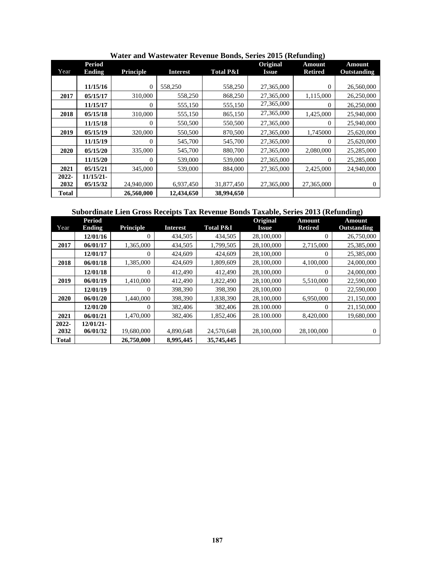| Year         | <b>Period</b> |            |                 | <b>Total P&amp;I</b> | Original     | Amount         | <b>Amount</b> |
|--------------|---------------|------------|-----------------|----------------------|--------------|----------------|---------------|
|              | <b>Ending</b> | Principle  | <b>Interest</b> |                      | <b>Issue</b> | <b>Retired</b> | Outstanding   |
|              | 11/15/16      | $\Omega$   | 558,250         | 558,250              | 27,365,000   | 0              | 26,560,000    |
| 2017         | 05/15/17      | 310,000    | 558,250         | 868,250              | 27,365,000   | 1,115,000      | 26,250,000    |
|              | 11/15/17      | $\Omega$   | 555,150         | 555,150              | 27,365,000   | $\Omega$       | 26,250,000    |
| 2018         | 05/15/18      | 310,000    | 555,150         | 865,150              | 27,365,000   | 1,425,000      | 25,940,000    |
|              | 11/15/18      | $\Omega$   | 550,500         | 550,500              | 27,365,000   | $\Omega$       | 25,940,000    |
| 2019         | 05/15/19      | 320,000    | 550,500         | 870,500              | 27,365,000   | 1,745000       | 25,620,000    |
|              | 11/15/19      | $\Omega$   | 545,700         | 545,700              | 27,365,000   | $\Omega$       | 25,620,000    |
| 2020         | 05/15/20      | 335,000    | 545,700         | 880,700              | 27,365,000   | 2,080,000      | 25,285,000    |
|              | 11/15/20      | $\Omega$   | 539,000         | 539,000              | 27,365,000   | $\Omega$       | 25,285,000    |
| 2021         | 05/15/21      | 345,000    | 539,000         | 884,000              | 27,365,000   | 2,425,000      | 24,940,000    |
| 2022-        | 11/15/21      |            |                 |                      |              |                |               |
| 2032         | 05/15/32      | 24,940,000 | 6,937,450       | 31,877,450           | 27,365,000   | 27,365,000     | $\mathbf{0}$  |
| <b>Total</b> |               | 26,560,000 | 12,434,650      | 38,994,650           |              |                |               |

 **Water and Wastewater Revenue Bonds, Series 2015 (Refunding)** 

|  | Subordinate Lien Gross Receipts Tax Revenue Bonds Taxable, Series 2013 (Refunding) |  |
|--|------------------------------------------------------------------------------------|--|
|  |                                                                                    |  |

|              | <b>Period</b> |                  |                 |                      | Original     | <b>Amount</b>  | Amount      |
|--------------|---------------|------------------|-----------------|----------------------|--------------|----------------|-------------|
| Year         | <b>Ending</b> | Principle        | <b>Interest</b> | <b>Total P&amp;I</b> | <b>Issue</b> | <b>Retired</b> | Outstanding |
|              | 12/01/16      | 0                | 434,505         | 434,505              | 28,100,000   | $\Omega$       | 26,750,000  |
| 2017         | 06/01/17      | 1,365,000        | 434,505         | 1,799,505            | 28,100,000   | 2,715,000      | 25,385,000  |
|              | 12/01/17      | 0                | 424,609         | 424,609              | 28,100,000   | $\Omega$       | 25,385,000  |
| 2018         | 06/01/18      | 1,385,000        | 424,609         | 1,809,609            | 28,100,000   | 4,100,000      | 24,000,000  |
|              | 12/01/18      | $\Omega$         | 412,490         | 412,490              | 28,100,000   | $\Omega$       | 24,000,000  |
| 2019         | 06/01/19      | 1,410,000        | 412,490         | 1,822,490            | 28,100,000   | 5,510,000      | 22,590,000  |
|              | 12/01/19      | $\Omega$         | 398,390         | 398,390              | 28,100,000   | $\Omega$       | 22,590,000  |
| 2020         | 06/01/20      | 1,440,000        | 398,390         | 1,838,390            | 28,100,000   | 6,950,000      | 21,150,000  |
|              | 12/01/20      | $\boldsymbol{0}$ | 382,406         | 382,406              | 28.100.000   | $\Omega$       | 21,150,000  |
| 2021         | 06/01/21      | 1,470,000        | 382,406         | 1,852,406            | 28.100.000   | 8,420,000      | 19,680,000  |
| 2022-        | 12/01/21      |                  |                 |                      |              |                |             |
| 2032         | 06/01/32      | 19,680,000       | 4,890,648       | 24,570,648           | 28,100,000   | 28,100,000     | 0           |
| <b>Total</b> |               | 26,750,000       | 8,995,445       | 35,745,445           |              |                |             |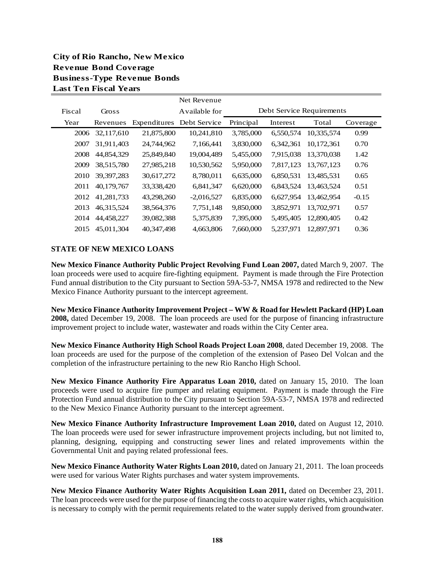## **City of Rio Rancho, New Mexico Revenue Bond Coverage Business-Type Revenue Bonds Last Ten Fiscal Years**

|        |              | Net Revenue  |               |           |           |                           |          |  |
|--------|--------------|--------------|---------------|-----------|-----------|---------------------------|----------|--|
| Fiscal | Gross        |              | Available for |           |           | Debt Service Requirements |          |  |
| Year   | Revenues     | Expenditures | Debt Service  | Principal | Interest  | Total                     | Coverage |  |
| 2006   | 32,117,610   | 21,875,800   | 10,241,810    | 3,785,000 | 6,550,574 | 10,335,574                | 0.99     |  |
| 2007   | 31,911,403   | 24,744,962   | 7,166,441     | 3,830,000 | 6,342,361 | 10.172.361                | 0.70     |  |
| 2008   | 44,854,329   | 25,849,840   | 19,004,489    | 5,455,000 | 7,915,038 | 13,370,038                | 1.42     |  |
| 2009   | 38,515,780   | 27,985,218   | 10,530,562    | 5,950,000 | 7,817,123 | 13.767.123                | 0.76     |  |
| 2010   | 39, 397, 283 | 30,617,272   | 8,780,011     | 6,635,000 | 6,850,531 | 13,485,531                | 0.65     |  |
| 2011   | 40,179,767   | 33,338,420   | 6,841,347     | 6,620,000 | 6,843,524 | 13.463.524                | 0.51     |  |
| 2012   | 41,281,733   | 43,298,260   | $-2,016,527$  | 6,835,000 | 6,627,954 | 13.462.954                | $-0.15$  |  |
| 2013   | 46, 315, 524 | 38,564,376   | 7,751,148     | 9,850,000 | 3,852,971 | 13,702,971                | 0.57     |  |
| 2014   | 44,458,227   | 39,082,388   | 5,375,839     | 7,395,000 | 5,495,405 | 12,890,405                | 0.42     |  |
| 2015   | 45,011,304   | 40.347.498   | 4,663,806     | 7,660,000 | 5.237.971 | 12,897,971                | 0.36     |  |

### **STATE OF NEW MEXICO LOANS**

**New Mexico Finance Authority Public Project Revolving Fund Loan 2007,** dated March 9, 2007. The loan proceeds were used to acquire fire-fighting equipment. Payment is made through the Fire Protection Fund annual distribution to the City pursuant to Section 59A-53-7, NMSA 1978 and redirected to the New Mexico Finance Authority pursuant to the intercept agreement.

**New Mexico Finance Authority Improvement Project – WW & Road for Hewlett Packard (HP) Loan 2008,** dated December 19, 2008. The loan proceeds are used for the purpose of financing infrastructure improvement project to include water, wastewater and roads within the City Center area.

**New Mexico Finance Authority High School Roads Project Loan 2008**, dated December 19, 2008. The loan proceeds are used for the purpose of the completion of the extension of Paseo Del Volcan and the completion of the infrastructure pertaining to the new Rio Rancho High School.

**New Mexico Finance Authority Fire Apparatus Loan 2010,** dated on January 15, 2010. The loan proceeds were used to acquire fire pumper and relating equipment. Payment is made through the Fire Protection Fund annual distribution to the City pursuant to Section 59A-53-7, NMSA 1978 and redirected to the New Mexico Finance Authority pursuant to the intercept agreement.

**New Mexico Finance Authority Infrastructure Improvement Loan 2010,** dated on August 12, 2010. The loan proceeds were used for sewer infrastructure improvement projects including, but not limited to, planning, designing, equipping and constructing sewer lines and related improvements within the Governmental Unit and paying related professional fees.

**New Mexico Finance Authority Water Rights Loan 2010,** dated on January 21, 2011. The loan proceeds were used for various Water Rights purchases and water system improvements.

**New Mexico Finance Authority Water Rights Acquisition Loan 2011,** dated on December 23, 2011. The loan proceeds were used for the purpose of financing the costs to acquire water rights, which acquisition is necessary to comply with the permit requirements related to the water supply derived from groundwater.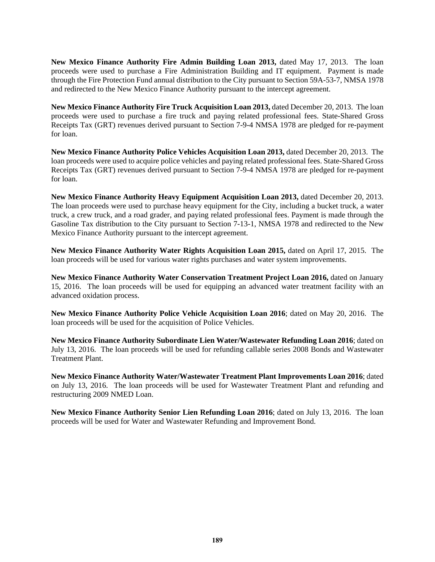New Mexico Finance Authority Fire Admin Building Loan 2013, dated May 17, 2013. The loan proceeds were used to purchase a Fire Administration Building and IT equipment. Payment is made through the Fire Protection Fund annual distribution to the City pursuant to Section 59A-53-7, NMSA 1978 and redirected to the New Mexico Finance Authority pursuant to the intercept agreement.

**New Mexico Finance Authority Fire Truck Acquisition Loan 2013,** dated December 20, 2013. The loan proceeds were used to purchase a fire truck and paying related professional fees. State-Shared Gross Receipts Tax (GRT) revenues derived pursuant to Section 7-9-4 NMSA 1978 are pledged for re-payment for loan.

**New Mexico Finance Authority Police Vehicles Acquisition Loan 2013,** dated December 20, 2013. The loan proceeds were used to acquire police vehicles and paying related professional fees. State-Shared Gross Receipts Tax (GRT) revenues derived pursuant to Section 7-9-4 NMSA 1978 are pledged for re-payment for loan.

**New Mexico Finance Authority Heavy Equipment Acquisition Loan 2013,** dated December 20, 2013. The loan proceeds were used to purchase heavy equipment for the City, including a bucket truck, a water truck, a crew truck, and a road grader, and paying related professional fees. Payment is made through the Gasoline Tax distribution to the City pursuant to Section 7-13-1, NMSA 1978 and redirected to the New Mexico Finance Authority pursuant to the intercept agreement.

**New Mexico Finance Authority Water Rights Acquisition Loan 2015,** dated on April 17, 2015. The loan proceeds will be used for various water rights purchases and water system improvements.

**New Mexico Finance Authority Water Conservation Treatment Project Loan 2016,** dated on January 15, 2016. The loan proceeds will be used for equipping an advanced water treatment facility with an advanced oxidation process.

**New Mexico Finance Authority Police Vehicle Acquisition Loan 2016**; dated on May 20, 2016. The loan proceeds will be used for the acquisition of Police Vehicles.

**New Mexico Finance Authority Subordinate Lien Water/Wastewater Refunding Loan 2016**; dated on July 13, 2016. The loan proceeds will be used for refunding callable series 2008 Bonds and Wastewater Treatment Plant.

**New Mexico Finance Authority Water/Wastewater Treatment Plant Improvements Loan 2016**; dated on July 13, 2016. The loan proceeds will be used for Wastewater Treatment Plant and refunding and restructuring 2009 NMED Loan.

**New Mexico Finance Authority Senior Lien Refunding Loan 2016**; dated on July 13, 2016. The loan proceeds will be used for Water and Wastewater Refunding and Improvement Bond.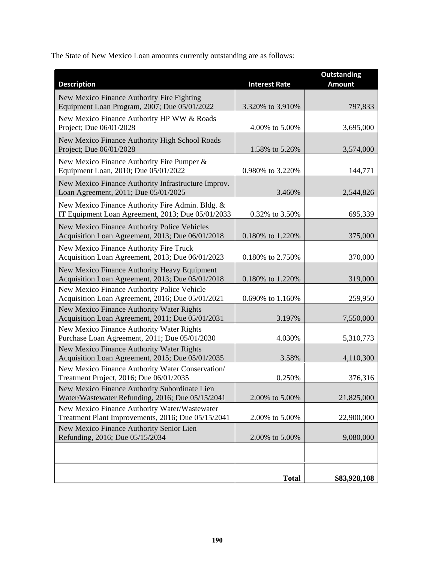The State of New Mexico Loan amounts currently outstanding are as follows:

| <b>Description</b>                                                                                    | <b>Interest Rate</b> | <b>Outstanding</b><br><b>Amount</b> |
|-------------------------------------------------------------------------------------------------------|----------------------|-------------------------------------|
| New Mexico Finance Authority Fire Fighting<br>Equipment Loan Program, 2007; Due 05/01/2022            | 3.320% to 3.910%     | 797,833                             |
| New Mexico Finance Authority HP WW & Roads<br>Project; Due 06/01/2028                                 | 4.00% to 5.00%       | 3,695,000                           |
| New Mexico Finance Authority High School Roads<br>Project; Due 06/01/2028                             | 1.58% to 5.26%       | 3,574,000                           |
| New Mexico Finance Authority Fire Pumper &<br>Equipment Loan, 2010; Due 05/01/2022                    | 0.980% to 3.220%     | 144,771                             |
| New Mexico Finance Authority Infrastructure Improv.<br>Loan Agreement, 2011; Due 05/01/2025           | 3.460%               | 2,544,826                           |
| New Mexico Finance Authority Fire Admin. Bldg. &<br>IT Equipment Loan Agreement, 2013; Due 05/01/2033 | 0.32% to 3.50%       | 695,339                             |
| New Mexico Finance Authority Police Vehicles<br>Acquisition Loan Agreement, 2013; Due 06/01/2018      | 0.180% to 1.220%     | 375,000                             |
| New Mexico Finance Authority Fire Truck<br>Acquisition Loan Agreement, 2013; Due 06/01/2023           | 0.180% to 2.750%     | 370,000                             |
| New Mexico Finance Authority Heavy Equipment<br>Acquisition Loan Agreement, 2013; Due 05/01/2018      | 0.180% to 1.220%     | 319,000                             |
| New Mexico Finance Authority Police Vehicle<br>Acquisition Loan Agreement, 2016; Due 05/01/2021       | 0.690% to 1.160%     | 259,950                             |
| New Mexico Finance Authority Water Rights<br>Acquisition Loan Agreement, 2011; Due 05/01/2031         | 3.197%               | 7,550,000                           |
| New Mexico Finance Authority Water Rights<br>Purchase Loan Agreement, 2011; Due 05/01/2030            | 4.030%               | 5,310,773                           |
| New Mexico Finance Authority Water Rights<br>Acquisition Loan Agreement, 2015; Due 05/01/2035         | 3.58%                | 4,110,300                           |
| New Mexico Finance Authority Water Conservation/<br>Treatment Project, 2016; Due 06/01/2035           | 0.250%               | 376,316                             |
| New Mexico Finance Authority Subordinate Lien<br>Water/Wastewater Refunding, 2016; Due 05/15/2041     | 2.00% to 5.00%       | 21,825,000                          |
| New Mexico Finance Authority Water/Wastewater<br>Treatment Plant Improvements, 2016; Due 05/15/2041   | 2.00% to 5.00%       | 22,900,000                          |
| New Mexico Finance Authority Senior Lien<br>Refunding, 2016; Due 05/15/2034                           | 2.00% to 5.00%       | 9,080,000                           |
|                                                                                                       |                      |                                     |
|                                                                                                       | <b>Total</b>         | \$83,928,108                        |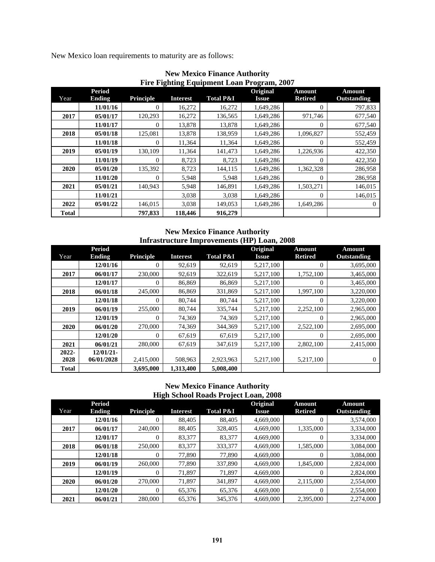New Mexico loan requirements to maturity are as follows:

|              | <b>Period</b> |                  |                 |                      | Original     | <b>Amount</b>  | Amount      |
|--------------|---------------|------------------|-----------------|----------------------|--------------|----------------|-------------|
| Year         | <b>Ending</b> | <b>Principle</b> | <b>Interest</b> | <b>Total P&amp;I</b> | <b>Issue</b> | <b>Retired</b> | Outstanding |
|              | 11/01/16      | 0                | 16,272          | 16,272               | 1,649,286    | 0              | 797,833     |
| 2017         | 05/01/17      | 120,293          | 16,272          | 136,565              | 1,649,286    | 971,746        | 677,540     |
|              | 11/01/17      | 0                | 13,878          | 13,878               | 1,649,286    | 0              | 677,540     |
| 2018         | 05/01/18      | 125,081          | 13,878          | 138,959              | 1,649,286    | 1,096,827      | 552,459     |
|              | 11/01/18      | $\Omega$         | 11,364          | 11,364               | 1,649,286    | 0              | 552,459     |
| 2019         | 05/01/19      | 130,109          | 11,364          | 141.473              | 1,649,286    | 1,226,936      | 422,350     |
|              | 11/01/19      | 0                | 8,723           | 8.723                | 1,649,286    | 0              | 422,350     |
| 2020         | 05/01/20      | 135.392          | 8.723           | 144.115              | 1,649,286    | 1,362,328      | 286,958     |
|              | 11/01/20      | $\Omega$         | 5,948           | 5,948                | 1,649,286    | 0              | 286,958     |
| 2021         | 05/01/21      | 140,943          | 5,948           | 146,891              | 1,649,286    | 1,503,271      | 146,015     |
|              | 11/01/21      |                  | 3,038           | 3,038                | 1,649,286    | 0              | 146,015     |
| 2022         | 05/01/22      | 146,015          | 3,038           | 149,053              | 1,649,286    | 1,649,286      | 0           |
| <b>Total</b> |               | 797,833          | 118,446         | 916,279              |              |                |             |

**New Mexico Finance Authority Fire Fighting Equipment Loan Program, 2007** 

### **New Mexico Finance Authority Infrastructure Improvements (HP) Loan, 2008**

|              | <b>Period</b> |                  |                 |                      | Original  | <b>Amount</b>  | <b>Amount</b> |
|--------------|---------------|------------------|-----------------|----------------------|-----------|----------------|---------------|
| Year         | <b>Ending</b> | <b>Principle</b> | <b>Interest</b> | <b>Total P&amp;I</b> | Issue     | <b>Retired</b> | Outstanding   |
|              | 12/01/16      | $\theta$         | 92,619          | 92,619               | 5,217,100 | $\Omega$       | 3,695,000     |
| 2017         | 06/01/17      | 230,000          | 92,619          | 322,619              | 5,217,100 | 1,752,100      | 3,465,000     |
|              | 12/01/17      | $\Omega$         | 86,869          | 86,869               | 5,217,100 | $\Omega$       | 3,465,000     |
| 2018         | 06/01/18      | 245,000          | 86,869          | 331,869              | 5,217,100 | 1,997,100      | 3,220,000     |
|              | 12/01/18      | 0                | 80,744          | 80,744               | 5,217,100 | $\Omega$       | 3,220,000     |
| 2019         | 06/01/19      | 255,000          | 80,744          | 335,744              | 5,217,100 | 2,252,100      | 2,965,000     |
|              | 12/01/19      | 0                | 74,369          | 74,369               | 5,217,100 | 0              | 2,965,000     |
| 2020         | 06/01/20      | 270,000          | 74,369          | 344.369              | 5,217,100 | 2,522,100      | 2,695,000     |
|              | 12/01/20      | 0                | 67,619          | 67,619               | 5,217,100 | $\Omega$       | 2,695,000     |
| 2021         | 06/01/21      | 280,000          | 67,619          | 347,619              | 5.217.100 | 2.802.100      | 2,415,000     |
| 2022-        | 12/01/21      |                  |                 |                      |           |                |               |
| 2028         | 06/01/2028    | 2,415,000        | 508,963         | 2,923,963            | 5,217,100 | 5,217,100      | 0             |
| <b>Total</b> |               | 3,695,000        | 1,313,400       | 5,008,400            |           |                |               |

### **New Mexico Finance Authority High School Roads Project Loan, 2008**

|      | $\frac{1}{2}$ and $\frac{1}{2}$ and $\frac{1}{2}$ and $\frac{1}{2}$ and $\frac{1}{2}$ and $\frac{1}{2}$ and $\frac{1}{2}$ and $\frac{1}{2}$ and $\frac{1}{2}$ and $\frac{1}{2}$ and $\frac{1}{2}$ and $\frac{1}{2}$ and $\frac{1}{2}$ and $\frac{1}{2}$ and $\frac{1}{2}$ and $\frac{1}{2}$ a |                  |                 |                      |              |                |             |  |  |  |  |
|------|-----------------------------------------------------------------------------------------------------------------------------------------------------------------------------------------------------------------------------------------------------------------------------------------------|------------------|-----------------|----------------------|--------------|----------------|-------------|--|--|--|--|
|      | <b>Period</b>                                                                                                                                                                                                                                                                                 |                  |                 |                      | Original     | <b>Amount</b>  | Amount      |  |  |  |  |
| Year | Ending                                                                                                                                                                                                                                                                                        | <b>Principle</b> | <b>Interest</b> | <b>Total P&amp;I</b> | <b>Issue</b> | <b>Retired</b> | Outstanding |  |  |  |  |
|      | 12/01/16                                                                                                                                                                                                                                                                                      | 0                | 88,405          | 88,405               | 4,669,000    | 0              | 3,574,000   |  |  |  |  |
| 2017 | 06/01/17                                                                                                                                                                                                                                                                                      | 240,000          | 88,405          | 328,405              | 4,669,000    | 1,335,000      | 3,334,000   |  |  |  |  |
|      | 12/01/17                                                                                                                                                                                                                                                                                      | 0                | 83,377          | 83,377               | 4,669,000    | $\theta$       | 3,334,000   |  |  |  |  |
| 2018 | 06/01/18                                                                                                                                                                                                                                                                                      | 250,000          | 83,377          | 333,377              | 4,669,000    | 1,585,000      | 3,084,000   |  |  |  |  |
|      | 12/01/18                                                                                                                                                                                                                                                                                      | 0                | 77,890          | 77,890               | 4,669,000    | $\Omega$       | 3,084,000   |  |  |  |  |
| 2019 | 06/01/19                                                                                                                                                                                                                                                                                      | 260,000          | 77,890          | 337,890              | 4,669,000    | 1,845,000      | 2,824,000   |  |  |  |  |
|      | 12/01/19                                                                                                                                                                                                                                                                                      | 0                | 71,897          | 71,897               | 4,669,000    | 0              | 2,824,000   |  |  |  |  |
| 2020 | 06/01/20                                                                                                                                                                                                                                                                                      | 270,000          | 71.897          | 341.897              | 4,669,000    | 2,115,000      | 2,554,000   |  |  |  |  |
|      | 12/01/20                                                                                                                                                                                                                                                                                      | 0                | 65,376          | 65,376               | 4,669,000    | $\Omega$       | 2,554,000   |  |  |  |  |
| 2021 | 06/01/21                                                                                                                                                                                                                                                                                      | 280,000          | 65,376          | 345,376              | 4.669.000    | 2,395,000      | 2,274,000   |  |  |  |  |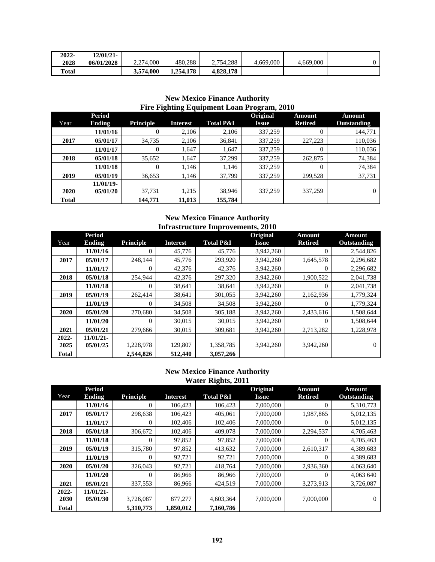| $2022 -$     | 12/01/21-  |           |           |           |           |           |  |
|--------------|------------|-----------|-----------|-----------|-----------|-----------|--|
| 2028         | 06/01/2028 | 2.274,000 | 480.288   | 2.754.288 | 4,669,000 | 4,669,000 |  |
| <b>Total</b> |            | 3.574.000 | 1,254,178 | 4,828,178 |           |           |  |

|              | <b>Period</b> |                  | . .             |                      | Original     | Amount         | Amount             |
|--------------|---------------|------------------|-----------------|----------------------|--------------|----------------|--------------------|
| Year         | <b>Ending</b> | <b>Principle</b> | <b>Interest</b> | <b>Total P&amp;I</b> | <b>Issue</b> | <b>Retired</b> | <b>Outstanding</b> |
|              | 11/01/16      | 0                | 2.106           | 2.106                | 337,259      | 0              | 144,771            |
| 2017         | 05/01/17      | 34,735           | 2.106           | 36,841               | 337,259      | 227,223        | 110,036            |
|              | 11/01/17      | 0                | 1.647           | 1.647                | 337,259      | 0              | 110,036            |
| 2018         | 05/01/18      | 35,652           | 1.647           | 37.299               | 337,259      | 262,875        | 74,384             |
|              | 11/01/18      | 0                | 1,146           | 1.146                | 337,259      | 0              | 74,384             |
| 2019         | 05/01/19      | 36,653           | 1,146           | 37,799               | 337,259      | 299,528        | 37,731             |
|              | $11/01/19$ -  |                  |                 |                      |              |                |                    |
| <b>2020</b>  | 05/01/20      | 37.731           | 1.215           | 38,946               | 337,259      | 337,259        | 0                  |
| <b>Total</b> |               | 144,771          | 11,013          | 155,784              |              |                |                    |

## **New Mexico Finance Authority Fire Fighting Equipment Loan Program, 2010**

### **New Mexico Finance Authority Infrastructure Improvements, 2010**

|              | <b>Period</b> |                  |                 |                      | Original     | <b>Amount</b>  | <b>Amount</b>      |
|--------------|---------------|------------------|-----------------|----------------------|--------------|----------------|--------------------|
| Year         | <b>Ending</b> | <b>Principle</b> | <b>Interest</b> | <b>Total P&amp;I</b> | <b>Issue</b> | <b>Retired</b> | <b>Outstanding</b> |
|              | 11/01/16      | $\overline{0}$   | 45,776          | 45,776               | 3,942,260    | $\theta$       | 2,544,826          |
| 2017         | 05/01/17      | 248,144          | 45,776          | 293,920              | 3,942,260    | 1,645,578      | 2,296,682          |
|              | 11/01/17      | $\Omega$         | 42,376          | 42,376               | 3,942,260    | $\theta$       | 2,296,682          |
| 2018         | 05/01/18      | 254,944          | 42,376          | 297,320              | 3,942,260    | 1,900,522      | 2,041,738          |
|              | 11/01/18      | $\Omega$         | 38,641          | 38,641               | 3,942,260    | $\theta$       | 2,041,738          |
| 2019         | 05/01/19      | 262,414          | 38,641          | 301,055              | 3,942,260    | 2,162,936      | 1,779,324          |
|              | 11/01/19      | $\boldsymbol{0}$ | 34,508          | 34,508               | 3,942,260    | $\overline{0}$ | 1,779,324          |
| 2020         | 05/01/20      | 270,680          | 34,508          | 305,188              | 3,942,260    | 2,433,616      | 1,508,644          |
|              | 11/01/20      | $\theta$         | 30,015          | 30,015               | 3,942,260    | $\theta$       | 1,508,644          |
| 2021         | 05/01/21      | 279,666          | 30,015          | 309,681              | 3,942,260    | 2,713,282      | 1,228,978          |
| 2022-        | 11/01/21-     |                  |                 |                      |              |                |                    |
| 2025         | 05/01/25      | 1,228,978        | 129,807         | 1,358,785            | 3,942,260    | 3,942,260      | $\mathbf{0}$       |
| <b>Total</b> |               | 2,544,826        | 512,440         | 3,057,266            |              |                |                    |

### **New Mexico Finance Authority Water Rights, 2011**

| Year         | <b>Period</b><br><b>Ending</b> | <b>Principle</b> | <b>Interest</b> | ິ<br><b>Total P&amp;I</b> | Original<br><b>Issue</b> | <b>Amount</b><br><b>Retired</b> | <b>Amount</b><br>Outstanding |
|--------------|--------------------------------|------------------|-----------------|---------------------------|--------------------------|---------------------------------|------------------------------|
|              | 11/01/16                       | $\theta$         | 106,423         | 106,423                   | 7,000,000                | $\theta$                        | 5,310,773                    |
| 2017         | 05/01/17                       | 298,638          | 106,423         | 405,061                   | 7,000,000                | 1,987,865                       | 5,012,135                    |
|              | 11/01/17                       | $\theta$         | 102,406         | 102,406                   | 7,000,000                | $\Omega$                        | 5,012,135                    |
| 2018         | 05/01/18                       | 306,672          | 102,406         | 409,078                   | 7,000,000                | 2,294,537                       | 4,705,463                    |
|              | 11/01/18                       | $\theta$         | 97,852          | 97,852                    | 7,000,000                | $\Omega$                        | 4,705,463                    |
| 2019         | 05/01/19                       | 315,780          | 97,852          | 413,632                   | 7,000,000                | 2,610,317                       | 4,389,683                    |
|              | 11/01/19                       | $\theta$         | 92,721          | 92,721                    | 7,000,000                | $\Omega$                        | 4,389,683                    |
| 2020         | 05/01/20                       | 326,043          | 92,721          | 418,764                   | 7,000,000                | 2,936,360                       | 4,063,640                    |
|              | 11/01/20                       | 0                | 86,966          | 86,966                    | 7,000,000                | $\theta$                        | 4,063 640                    |
| 2021         | 05/01/21                       | 337,553          | 86,966          | 424,519                   | 7,000,000                | 3,273,913                       | 3,726,087                    |
| 2022-        | 11/01/21-                      |                  |                 |                           |                          |                                 |                              |
| 2030         | 05/01/30                       | 3,726,087        | 877,277         | 4,603,364                 | 7,000,000                | 7,000,000                       | $\mathbf{0}$                 |
| <b>Total</b> |                                | 5,310,773        | 1,850,012       | 7,160,786                 |                          |                                 |                              |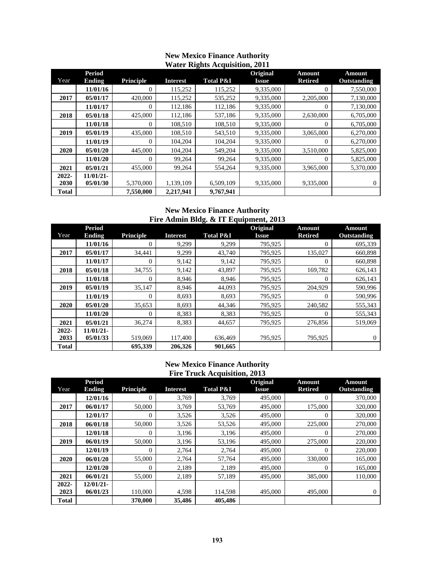|              |                                |                  |                 | $\ldots$ and $\ldots$ |                          |                                 |                              |
|--------------|--------------------------------|------------------|-----------------|-----------------------|--------------------------|---------------------------------|------------------------------|
| Year         | <b>Period</b><br><b>Ending</b> | <b>Principle</b> | <b>Interest</b> | <b>Total P&amp;I</b>  | Original<br><b>Issue</b> | <b>Amount</b><br><b>Retired</b> | <b>Amount</b><br>Outstanding |
|              | 11/01/16                       | 0                | 115.252         | 115,252               | 9,335,000                | 0                               | 7,550,000                    |
| 2017         | 05/01/17                       | 420,000          | 115,252         | 535,252               | 9,335,000                | 2,205,000                       | 7,130,000                    |
|              | 11/01/17                       | $\overline{0}$   | 112,186         | 112,186               | 9,335,000                | $\theta$                        | 7,130,000                    |
| 2018         | 05/01/18                       | 425,000          | 112,186         | 537,186               | 9,335,000                | 2,630,000                       | 6,705,000                    |
|              | 11/01/18                       | $\overline{0}$   | 108,510         | 108,510               | 9,335,000                | $\theta$                        | 6,705,000                    |
| 2019         | 05/01/19                       | 435,000          | 108,510         | 543,510               | 9,335,000                | 3,065,000                       | 6,270,000                    |
|              | 11/01/19                       | $\overline{0}$   | 104,204         | 104,204               | 9,335,000                | 0                               | 6,270,000                    |
| 2020         | 05/01/20                       | 445,000          | 104,204         | 549,204               | 9,335,000                | 3,510,000                       | 5,825,000                    |
|              | 11/01/20                       | $\theta$         | 99,264          | 99,264                | 9,335,000                | $\theta$                        | 5,825,000                    |
| 2021         | 05/01/21                       | 455,000          | 99,264          | 554,264               | 9.335,000                | 3,965,000                       | 5,370,000                    |
| 2022-        | $11/01/21$ -                   |                  |                 |                       |                          |                                 |                              |
| 2030         | 05/01/30                       | 5,370,000        | 1,139,109       | 6,509,109             | 9,335,000                | 9,335,000                       | $\theta$                     |
| <b>Total</b> |                                | 7,550,000        | 2,217,941       | 9,767,941             |                          |                                 |                              |

### **New Mexico Finance Authority Water Rights Acquisition, 2011**

### **New Mexico Finance Authority Fire Admin Bldg. & IT Equipment, 2013**

|              | <b>Period</b> |                  |                 |                      | <b>Original</b> | <b>Amount</b>  | <b>Amount</b>      |
|--------------|---------------|------------------|-----------------|----------------------|-----------------|----------------|--------------------|
| Year         | <b>Ending</b> | <b>Principle</b> | <b>Interest</b> | <b>Total P&amp;I</b> | <b>Issue</b>    | <b>Retired</b> | <b>Outstanding</b> |
|              | 11/01/16      | 0                | 9.299           | 9.299                | 795,925         | 0              | 695,339            |
| 2017         | 05/01/17      | 34,441           | 9,299           | 43,740               | 795,925         | 135,027        | 660,898            |
|              | 11/01/17      | $\Omega$         | 9,142           | 9,142                | 795,925         | $\theta$       | 660,898            |
| 2018         | 05/01/18      | 34,755           | 9,142           | 43,897               | 795,925         | 169,782        | 626,143            |
|              | 11/01/18      | $\theta$         | 8,946           | 8,946                | 795,925         | $\Omega$       | 626,143            |
| 2019         | 05/01/19      | 35.147           | 8.946           | 44,093               | 795,925         | 204,929        | 590,996            |
|              | 11/01/19      | 0                | 8,693           | 8,693                | 795,925         | $\Omega$       | 590,996            |
| 2020         | 05/01/20      | 35,653           | 8,693           | 44,346               | 795,925         | 240,582        | 555,343            |
|              | 11/01/20      | $\theta$         | 8,383           | 8,383                | 795,925         | $\theta$       | 555,343            |
| 2021         | 05/01/21      | 36,274           | 8,383           | 44,657               | 795.925         | 276,856        | 519,069            |
| 2022-        | 11/01/21      |                  |                 |                      |                 |                |                    |
| 2033         | 05/01/33      | 519,069          | 117,400         | 636,469              | 795,925         | 795,925        | $\Omega$           |
| <b>Total</b> |               | 695,339          | 206.326         | 901.665              |                 |                |                    |

### **New Mexico Finance Authority Fire Truck Acquisition, 2013**

| Year         | <b>Period</b><br><b>Ending</b> | <b>Principle</b> | <b>Interest</b> | <b>Total P&amp;I</b> | Original<br><b>Issue</b> | <b>Amount</b><br><b>Retired</b> | <b>Amount</b><br><b>Outstanding</b> |
|--------------|--------------------------------|------------------|-----------------|----------------------|--------------------------|---------------------------------|-------------------------------------|
|              |                                |                  |                 |                      |                          |                                 |                                     |
|              | 12/01/16                       | $\theta$         | 3.769           | 3.769                | 495,000                  | $\boldsymbol{0}$                | 370,000                             |
| 2017         | 06/01/17                       | 50,000           | 3,769           | 53,769               | 495,000                  | 175,000                         | 320,000                             |
|              | 12/01/17                       | $\overline{0}$   | 3,526           | 3,526                | 495,000                  | $\theta$                        | 320,000                             |
| 2018         | 06/01/18                       | 50,000           | 3,526           | 53,526               | 495,000                  | 225,000                         | 270,000                             |
|              | 12/01/18                       | $\Omega$         | 3,196           | 3,196                | 495,000                  | $\theta$                        | 270,000                             |
| 2019         | 06/01/19                       | 50,000           | 3,196           | 53,196               | 495,000                  | 275,000                         | 220,000                             |
|              | 12/01/19                       | $\Omega$         | 2,764           | 2,764                | 495,000                  | $\Omega$                        | 220,000                             |
| 2020         | 06/01/20                       | 55,000           | 2,764           | 57,764               | 495,000                  | 330,000                         | 165,000                             |
|              | 12/01/20                       | $\Omega$         | 2,189           | 2,189                | 495,000                  | $\theta$                        | 165,000                             |
| 2021         | 06/01/21                       | 55,000           | 2.189           | 57.189               | 495,000                  | 385,000                         | 110,000                             |
| 2022-        | $12/01/21$ -                   |                  |                 |                      |                          |                                 |                                     |
| 2023         | 06/01/23                       | 110,000          | 4,598           | 114,598              | 495,000                  | 495,000                         | $\mathbf{0}$                        |
| <b>Total</b> |                                | 370,000          | 35,486          | 405.486              |                          |                                 |                                     |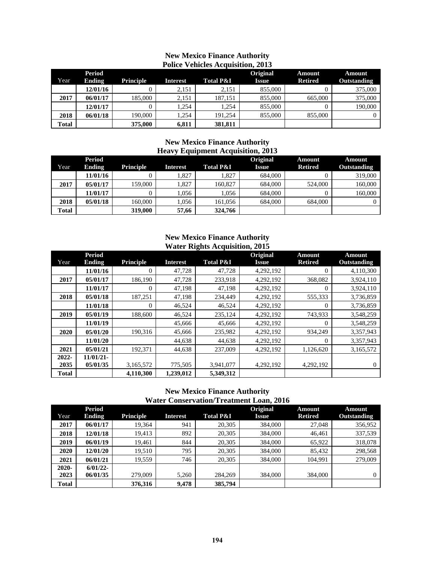|              | POIICE VENICIES ACQUISIUON, 2015 |                  |                 |                      |                          |                                 |                              |  |  |  |
|--------------|----------------------------------|------------------|-----------------|----------------------|--------------------------|---------------------------------|------------------------------|--|--|--|
| Year         | Period<br><b>Ending</b>          | <b>Principle</b> | <b>Interest</b> | <b>Total P&amp;I</b> | <b>Original</b><br>Issue | <b>Amount</b><br><b>Retired</b> | Amount<br><b>Outstanding</b> |  |  |  |
|              | 12/01/16                         |                  | 2,151           | 2,151                | 855,000                  |                                 | 375,000                      |  |  |  |
| 2017         | 06/01/17                         | 185,000          | 2,151           | 187,151              | 855,000                  | 665,000                         | 375,000                      |  |  |  |
|              | 12/01/17                         |                  | 1.254           | 1.254                | 855,000                  |                                 | 190,000                      |  |  |  |
| 2018         | 06/01/18                         | 190,000          | 1.254           | 191.254              | 855,000                  | 855,000                         | $\Omega$                     |  |  |  |
| <b>Total</b> |                                  | 375,000          | 6,811           | 381,811              |                          |                                 |                              |  |  |  |

### **New Mexico Finance Authority Police Vehicles Acquisition, 2013**

### **New Mexico Finance Authority Heavy Equipment Acquisition, 2013**

| Year  | Period<br><b>Ending</b> | <b>Principle</b> | <b>Interest</b> | <b>Total P&amp;I</b> | <b>Original</b><br>Issue | Amount<br><b>Retired</b> | <b>Amount</b><br><b>Outstanding</b> |
|-------|-------------------------|------------------|-----------------|----------------------|--------------------------|--------------------------|-------------------------------------|
|       | 11/01/16                |                  | 1.827           | 1.827                | 684,000                  |                          | 319,000                             |
| 2017  | 05/01/17                | 159.000          | 1.827           | 160.827              | 684,000                  | 524,000                  | 160,000                             |
|       | 11/01/17                |                  | 1.056           | 1.056                | 684,000                  |                          | 160,000                             |
| 2018  | 05/01/18                | 160,000          | 1.056           | 161.056              | 684,000                  | 684,000                  |                                     |
| Total |                         | 319,000          | 57,66           | 324,766              |                          |                          |                                     |

### **New Mexico Finance Authority Water Rights Acquisition, 2015**

|              | <b>Period</b> |                  |                 | o                    | Original     | <b>Amount</b>  | <b>Amount</b>      |
|--------------|---------------|------------------|-----------------|----------------------|--------------|----------------|--------------------|
| Year         | Ending        | <b>Principle</b> | <b>Interest</b> | <b>Total P&amp;I</b> | <b>Issue</b> | <b>Retired</b> | <b>Outstanding</b> |
|              | 11/01/16      | $\Omega$         | 47,728          | 47,728               | 4,292,192    | $\theta$       | 4,110,300          |
| 2017         | 05/01/17      | 186.190          | 47.728          | 233,918              | 4,292,192    | 368,082        | 3,924,110          |
|              | 11/01/17      | $\theta$         | 47,198          | 47,198               | 4,292,192    | $\theta$       | 3,924,110          |
| 2018         | 05/01/18      | 187.251          | 47,198          | 234,449              | 4,292,192    | 555,333        | 3,736,859          |
|              | 11/01/18      | $\theta$         | 46,524          | 46,524               | 4,292,192    | 0              | 3,736,859          |
| 2019         | 05/01/19      | 188,600          | 46,524          | 235,124              | 4,292,192    | 743,933        | 3,548,259          |
|              | 11/01/19      |                  | 45,666          | 45,666               | 4,292,192    | $\theta$       | 3,548,259          |
| 2020         | 05/01/20      | 190,316          | 45,666          | 235,982              | 4,292,192    | 934,249        | 3,357,943          |
|              | 11/01/20      |                  | 44,638          | 44,638               | 4,292,192    | $\Omega$       | 3,357,943          |
| 2021         | 05/01/21      | 192,371          | 44,638          | 237,009              | 4,292,192    | 1,126,620      | 3,165,572          |
| $2022 -$     | $11/01/21$ -  |                  |                 |                      |              |                |                    |
| 2035         | 05/01/35      | 3,165,572        | 775,505         | 3,941,077            | 4,292,192    | 4,292,192      | $\theta$           |
| <b>Total</b> |               | 4,110,300        | 1.239.012       | 5.349.312            |              |                |                    |

### **New Mexico Finance Authority Water Conservation/Treatment Loan, 2016**

|              | <b>Period</b> |                  |                 |                      | Original     | <b>Amount</b>  | <b>Amount</b>      |
|--------------|---------------|------------------|-----------------|----------------------|--------------|----------------|--------------------|
| Year         | Ending        | <b>Principle</b> | <b>Interest</b> | <b>Total P&amp;I</b> | <b>Issue</b> | <b>Retired</b> | <b>Outstanding</b> |
| 2017         | 06/01/17      | 19.364           | 941             | 20,305               | 384,000      | 27,048         | 356,952            |
| 2018         | 12/01/18      | 19.413           | 892             | 20,305               | 384,000      | 46.461         | 337,539            |
| 2019         | 06/01/19      | 19.461           | 844             | 20,305               | 384,000      | 65.922         | 318,078            |
| 2020         | 12/01/20      | 19.510           | 795             | 20,305               | 384,000      | 85.432         | 298,568            |
| 2021         | 06/01/21      | 19.559           | 746             | 20,305               | 384,000      | 104.991        | 279,009            |
| $2020 -$     | $6/01/22$ -   |                  |                 |                      |              |                |                    |
| 2023         | 06/01/35      | 279,009          | 5.260           | 284,269              | 384,000      | 384,000        | $\Omega$           |
| <b>Total</b> |               | 376,316          | 9.478           | 385,794              |              |                |                    |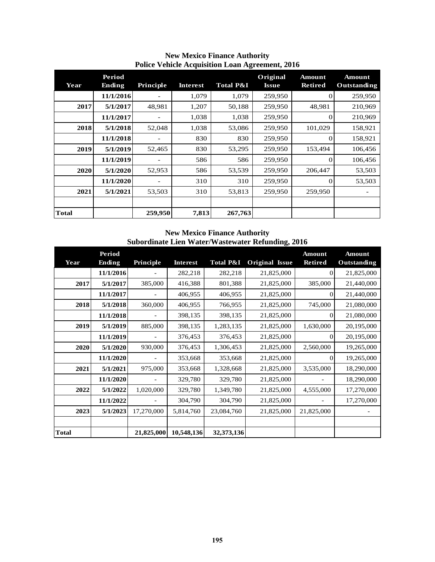| Year         | Period<br><b>Ending</b> | Principle | Interest | <b>Total P&amp;I</b> | Original<br>Issue | <b>Amount</b><br><b>Retired</b> | <b>Amount</b><br>Outstanding |
|--------------|-------------------------|-----------|----------|----------------------|-------------------|---------------------------------|------------------------------|
|              | 11/1/2016               |           | 1,079    | 1,079                | 259,950           | $_{0}$                          | 259,950                      |
| 2017         | 5/1/2017                | 48,981    | 1,207    | 50,188               | 259,950           | 48,981                          | 210,969                      |
|              | 11/1/2017               |           | 1,038    | 1,038                | 259,950           | $\Omega$                        | 210,969                      |
| 2018         | 5/1/2018                | 52,048    | 1,038    | 53,086               | 259,950           | 101,029                         | 158,921                      |
|              | 11/1/2018               |           | 830      | 830                  | 259,950           |                                 | 158,921                      |
| 2019         | 5/1/2019                | 52,465    | 830      | 53,295               | 259,950           | 153,494                         | 106,456                      |
|              | 11/1/2019               |           | 586      | 586                  | 259,950           |                                 | 106,456                      |
| 2020         | 5/1/2020                | 52,953    | 586      | 53,539               | 259,950           | 206,447                         | 53,503                       |
|              | 11/1/2020               |           | 310      | 310                  | 259,950           | $\Omega$                        | 53,503                       |
| 2021         | 5/1/2021                | 53,503    | 310      | 53,813               | 259,950           | 259,950                         |                              |
|              |                         |           |          |                      |                   |                                 |                              |
| <b>Total</b> |                         | 259,950   | 7,813    | 267,763              |                   |                                 |                              |

### **New Mexico Finance Authority Police Vehicle Acquisition Loan Agreement, 2016**

### **New Mexico Finance Authority Subordinate Lien Water/Wastewater Refunding, 2016**

| Year         | Period<br><b>Ending</b> | Principle  | <b>Interest</b> | <b>Total P&amp;I</b> | <b>Original Issue</b> | <b>Amount</b><br><b>Retired</b> | <b>Amount</b><br><b>Outstanding</b> |
|--------------|-------------------------|------------|-----------------|----------------------|-----------------------|---------------------------------|-------------------------------------|
|              | 11/1/2016               |            | 282,218         | 282,218              | 21,825,000            | $\Omega$                        | 21,825,000                          |
| 2017         | 5/1/2017                | 385,000    | 416,388         | 801,388              | 21,825,000            | 385,000                         | 21,440,000                          |
|              | 11/1/2017               |            | 406,955         | 406,955              | 21,825,000            | 0                               | 21,440,000                          |
| 2018         | 5/1/2018                | 360,000    | 406,955         | 766,955              | 21,825,000            | 745,000                         | 21,080,000                          |
|              | 11/1/2018               |            | 398,135         | 398,135              | 21,825,000            | $\Omega$                        | 21,080,000                          |
| 2019         | 5/1/2019                | 885,000    | 398,135         | 1,283,135            | 21,825,000            | 1,630,000                       | 20,195,000                          |
|              | 11/1/2019               |            | 376,453         | 376,453              | 21,825,000            | 0                               | 20,195,000                          |
| 2020         | 5/1/2020                | 930,000    | 376,453         | 1,306,453            | 21,825,000            | 2,560,000                       | 19,265,000                          |
|              | 11/1/2020               |            | 353,668         | 353,668              | 21,825,000            | 0                               | 19,265,000                          |
| 2021         | 5/1/2021                | 975,000    | 353,668         | 1,328,668            | 21,825,000            | 3,535,000                       | 18,290,000                          |
|              | 11/1/2020               |            | 329,780         | 329,780              | 21,825,000            |                                 | 18,290,000                          |
| 2022         | 5/1/2022                | 1,020,000  | 329,780         | 1,349,780            | 21,825,000            | 4,555,000                       | 17,270,000                          |
|              | 11/1/2022               |            | 304,790         | 304,790              | 21,825,000            |                                 | 17,270,000                          |
| 2023         | 5/1/2023                | 17,270,000 | 5,814,760       | 23,084,760           | 21,825,000            | 21,825,000                      |                                     |
|              |                         |            |                 |                      |                       |                                 |                                     |
| <b>Total</b> |                         | 21,825,000 | 10,548,136      | 32,373,136           |                       |                                 |                                     |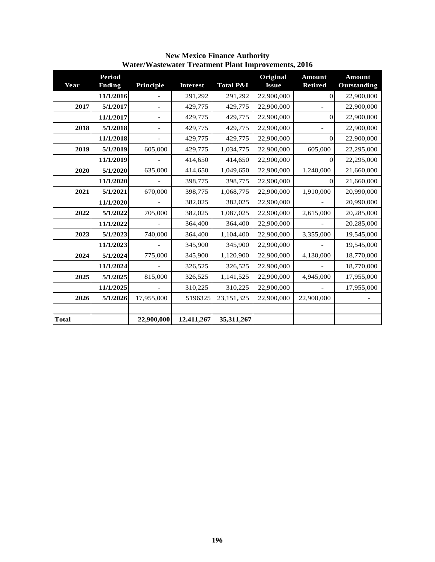| Year         | Period<br><b>Ending</b> | Principle      | <b>Interest</b> | <b>Total P&amp;I</b> | Original<br><b>Issue</b> | <b>Amount</b><br><b>Retired</b> | <b>Amount</b><br>Outstanding |
|--------------|-------------------------|----------------|-----------------|----------------------|--------------------------|---------------------------------|------------------------------|
|              | 11/1/2016               |                | 291,292         | 291,292              | 22,900,000               | $\vert 0 \vert$                 | 22,900,000                   |
| 2017         | 5/1/2017                |                | 429,775         | 429,775              | 22,900,000               |                                 | 22,900,000                   |
|              | 11/1/2017               |                | 429,775         | 429,775              | 22,900,000               | $\Omega$                        | 22,900,000                   |
| 2018         | 5/1/2018                | $\overline{a}$ | 429,775         | 429,775              | 22,900,000               |                                 | 22,900,000                   |
|              | 11/1/2018               |                | 429,775         | 429,775              | 22,900,000               | $\Omega$                        | 22,900,000                   |
| 2019         | 5/1/2019                | 605,000        | 429,775         | 1,034,775            | 22,900,000               | 605,000                         | 22,295,000                   |
|              | 11/1/2019               |                | 414,650         | 414,650              | 22,900,000               | $\Omega$                        | 22,295,000                   |
| 2020         | 5/1/2020                | 635,000        | 414,650         | 1,049,650            | 22,900,000               | 1,240,000                       | 21,660,000                   |
|              | 11/1/2020               |                | 398,775         | 398,775              | 22,900,000               | 0                               | 21,660,000                   |
| 2021         | 5/1/2021                | 670,000        | 398,775         | 1,068,775            | 22,900,000               | 1,910,000                       | 20,990,000                   |
|              | 11/1/2020               |                | 382,025         | 382,025              | 22,900,000               |                                 | 20,990,000                   |
| 2022         | 5/1/2022                | 705,000        | 382,025         | 1,087,025            | 22,900,000               | 2,615,000                       | 20,285,000                   |
|              | 11/1/2022               |                | 364,400         | 364,400              | 22,900,000               |                                 | 20,285,000                   |
| 2023         | 5/1/2023                | 740,000        | 364,400         | 1,104,400            | 22,900,000               | 3,355,000                       | 19,545,000                   |
|              | 11/1/2023               |                | 345,900         | 345,900              | 22,900,000               |                                 | 19,545,000                   |
| 2024         | 5/1/2024                | 775,000        | 345,900         | 1,120,900            | 22,900,000               | 4,130,000                       | 18,770,000                   |
|              | 11/1/2024               |                | 326,525         | 326,525              | 22,900,000               |                                 | 18,770,000                   |
| 2025         | 5/1/2025                | 815,000        | 326,525         | 1,141,525            | 22,900,000               | 4,945,000                       | 17,955,000                   |
|              | 11/1/2025               |                | 310,225         | 310,225              | 22,900,000               |                                 | 17,955,000                   |
| 2026         | 5/1/2026                | 17,955,000     | 5196325         | 23,151,325           | 22,900,000               | 22,900,000                      |                              |
|              |                         |                |                 |                      |                          |                                 |                              |
| <b>Total</b> |                         | 22,900,000     | 12,411,267      | 35,311,267           |                          |                                 |                              |

**New Mexico Finance Authority Water/Wastewater Treatment Plant Improvements, 2016**